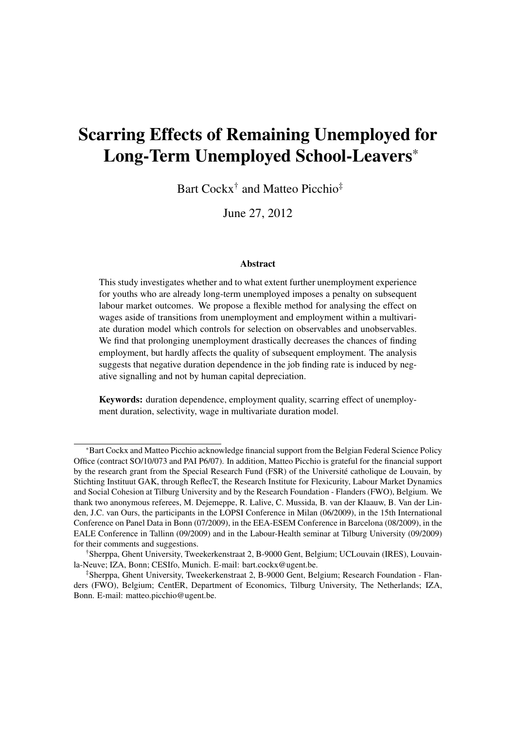# Scarring Effects of Remaining Unemployed for Long-Term Unemployed School-Leavers\*

Bart Cockx<sup>†</sup> and Matteo Picchio<sup>‡</sup>

June 27, 2012

#### Abstract

This study investigates whether and to what extent further unemployment experience for youths who are already long-term unemployed imposes a penalty on subsequent labour market outcomes. We propose a flexible method for analysing the effect on wages aside of transitions from unemployment and employment within a multivariate duration model which controls for selection on observables and unobservables. We find that prolonging unemployment drastically decreases the chances of finding employment, but hardly affects the quality of subsequent employment. The analysis suggests that negative duration dependence in the job finding rate is induced by negative signalling and not by human capital depreciation.

Keywords: duration dependence, employment quality, scarring effect of unemployment duration, selectivity, wage in multivariate duration model.

<sup>\*</sup>Bart Cockx and Matteo Picchio acknowledge financial support from the Belgian Federal Science Policy Office (contract SO/10/073 and PAI P6/07). In addition, Matteo Picchio is grateful for the financial support by the research grant from the Special Research Fund (FSR) of the Université catholique de Louvain, by Stichting Instituut GAK, through ReflecT, the Research Institute for Flexicurity, Labour Market Dynamics and Social Cohesion at Tilburg University and by the Research Foundation - Flanders (FWO), Belgium. We thank two anonymous referees, M. Dejemeppe, R. Lalive, C. Mussida, B. van der Klaauw, B. Van der Linden, J.C. van Ours, the participants in the LOPSI Conference in Milan (06/2009), in the 15th International Conference on Panel Data in Bonn (07/2009), in the EEA-ESEM Conference in Barcelona (08/2009), in the EALE Conference in Tallinn (09/2009) and in the Labour-Health seminar at Tilburg University (09/2009) for their comments and suggestions.

<sup>†</sup>Sherppa, Ghent University, Tweekerkenstraat 2, B-9000 Gent, Belgium; UCLouvain (IRES), Louvainla-Neuve; IZA, Bonn; CESIfo, Munich. E-mail: bart.cockx@ugent.be.

<sup>‡</sup>Sherppa, Ghent University, Tweekerkenstraat 2, B-9000 Gent, Belgium; Research Foundation - Flanders (FWO), Belgium; CentER, Department of Economics, Tilburg University, The Netherlands; IZA, Bonn. E-mail: matteo.picchio@ugent.be.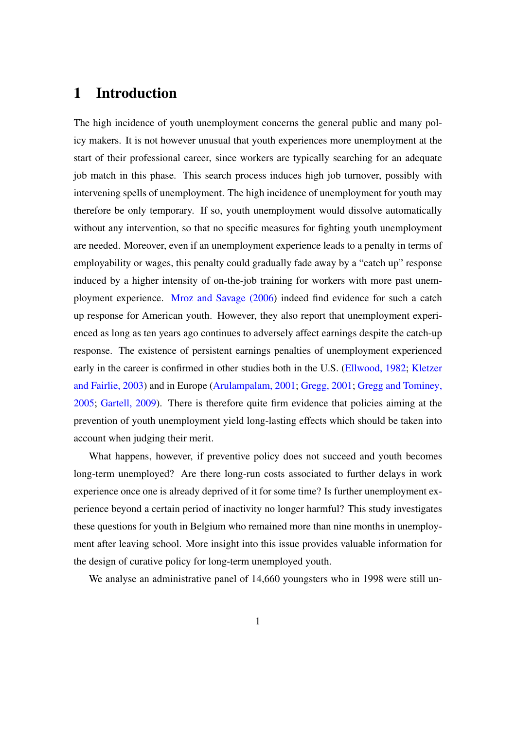## 1 Introduction

The high incidence of youth unemployment concerns the general public and many policy makers. It is not however unusual that youth experiences more unemployment at the start of their professional career, since workers are typically searching for an adequate job match in this phase. This search process induces high job turnover, possibly with intervening spells of unemployment. The high incidence of unemployment for youth may therefore be only temporary. If so, youth unemployment would dissolve automatically without any intervention, so that no specific measures for fighting youth unemployment are needed. Moreover, even if an unemployment experience leads to a penalty in terms of employability or wages, this penalty could gradually fade away by a "catch up" response induced by a higher intensity of on-the-job training for workers with more past unemployment experience. [Mroz and Savage \(2006\)](#page-40-0) indeed find evidence for such a catch up response for American youth. However, they also report that unemployment experienced as long as ten years ago continues to adversely affect earnings despite the catch-up response. The existence of persistent earnings penalties of unemployment experienced early in the career is confirmed in other studies both in the U.S. [\(Ellwood, 1982;](#page-39-0) [Kletzer](#page-40-1) [and Fairlie, 2003\)](#page-40-1) and in Europe [\(Arulampalam, 2001;](#page-38-0) [Gregg, 2001;](#page-39-1) [Gregg and Tominey,](#page-39-2) [2005;](#page-39-2) [Gartell, 2009\)](#page-39-3). There is therefore quite firm evidence that policies aiming at the prevention of youth unemployment yield long-lasting effects which should be taken into account when judging their merit.

What happens, however, if preventive policy does not succeed and youth becomes long-term unemployed? Are there long-run costs associated to further delays in work experience once one is already deprived of it for some time? Is further unemployment experience beyond a certain period of inactivity no longer harmful? This study investigates these questions for youth in Belgium who remained more than nine months in unemployment after leaving school. More insight into this issue provides valuable information for the design of curative policy for long-term unemployed youth.

We analyse an administrative panel of 14,660 youngsters who in 1998 were still un-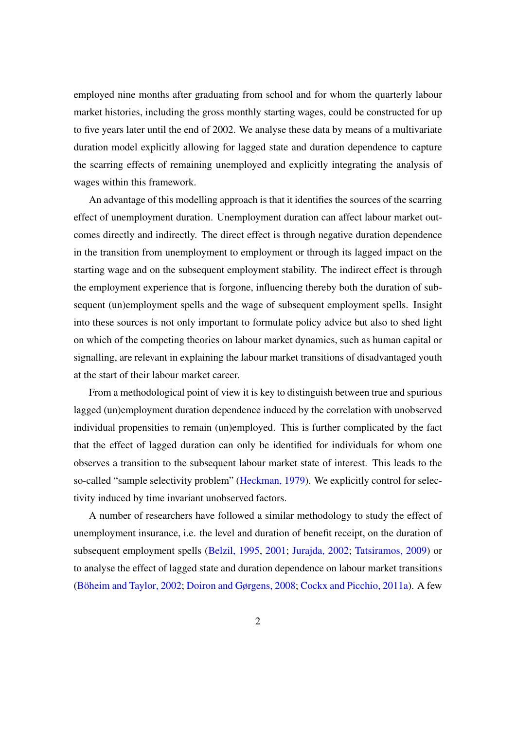employed nine months after graduating from school and for whom the quarterly labour market histories, including the gross monthly starting wages, could be constructed for up to five years later until the end of 2002. We analyse these data by means of a multivariate duration model explicitly allowing for lagged state and duration dependence to capture the scarring effects of remaining unemployed and explicitly integrating the analysis of wages within this framework.

An advantage of this modelling approach is that it identifies the sources of the scarring effect of unemployment duration. Unemployment duration can affect labour market outcomes directly and indirectly. The direct effect is through negative duration dependence in the transition from unemployment to employment or through its lagged impact on the starting wage and on the subsequent employment stability. The indirect effect is through the employment experience that is forgone, influencing thereby both the duration of subsequent (un)employment spells and the wage of subsequent employment spells. Insight into these sources is not only important to formulate policy advice but also to shed light on which of the competing theories on labour market dynamics, such as human capital or signalling, are relevant in explaining the labour market transitions of disadvantaged youth at the start of their labour market career.

From a methodological point of view it is key to distinguish between true and spurious lagged (un)employment duration dependence induced by the correlation with unobserved individual propensities to remain (un)employed. This is further complicated by the fact that the effect of lagged duration can only be identified for individuals for whom one observes a transition to the subsequent labour market state of interest. This leads to the so-called "sample selectivity problem" [\(Heckman, 1979\)](#page-39-4). We explicitly control for selectivity induced by time invariant unobserved factors.

A number of researchers have followed a similar methodology to study the effect of unemployment insurance, i.e. the level and duration of benefit receipt, on the duration of subsequent employment spells [\(Belzil, 1995,](#page-38-1) [2001;](#page-38-2) [Jurajda, 2002;](#page-40-2) [Tatsiramos, 2009\)](#page-40-3) or to analyse the effect of lagged state and duration dependence on labour market transitions [\(Böheim and Taylor, 2002;](#page-38-3) [Doiron and Gørgens, 2008;](#page-39-5) [Cockx and Picchio, 2011a\)](#page-39-6). A few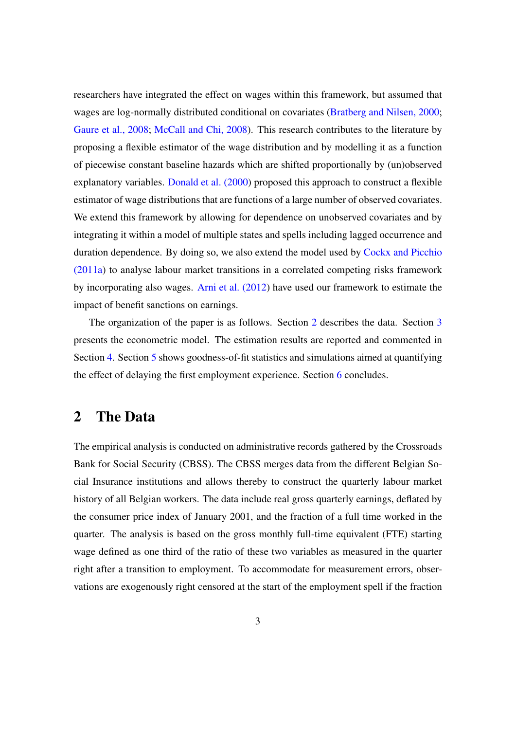researchers have integrated the effect on wages within this framework, but assumed that wages are log-normally distributed conditional on covariates [\(Bratberg and Nilsen, 2000;](#page-38-4) [Gaure et al., 2008;](#page-39-7) [McCall and Chi, 2008\)](#page-40-4). This research contributes to the literature by proposing a flexible estimator of the wage distribution and by modelling it as a function of piecewise constant baseline hazards which are shifted proportionally by (un)observed explanatory variables. [Donald et al. \(2000\)](#page-39-8) proposed this approach to construct a flexible estimator of wage distributions that are functions of a large number of observed covariates. We extend this framework by allowing for dependence on unobserved covariates and by integrating it within a model of multiple states and spells including lagged occurrence and duration dependence. By doing so, we also extend the model used by [Cockx and Picchio](#page-39-6) [\(2011a\)](#page-39-6) to analyse labour market transitions in a correlated competing risks framework by incorporating also wages. [Arni et al. \(2012\)](#page-38-5) have used our framework to estimate the impact of benefit sanctions on earnings.

The organization of the paper is as follows. Section [2](#page-3-0) describes the data. Section [3](#page-10-0) presents the econometric model. The estimation results are reported and commented in Section [4.](#page-19-0) Section [5](#page-27-0) shows goodness-of-fit statistics and simulations aimed at quantifying the effect of delaying the first employment experience. Section [6](#page-32-0) concludes.

## <span id="page-3-0"></span>2 The Data

The empirical analysis is conducted on administrative records gathered by the Crossroads Bank for Social Security (CBSS). The CBSS merges data from the different Belgian Social Insurance institutions and allows thereby to construct the quarterly labour market history of all Belgian workers. The data include real gross quarterly earnings, deflated by the consumer price index of January 2001, and the fraction of a full time worked in the quarter. The analysis is based on the gross monthly full-time equivalent (FTE) starting wage defined as one third of the ratio of these two variables as measured in the quarter right after a transition to employment. To accommodate for measurement errors, observations are exogenously right censored at the start of the employment spell if the fraction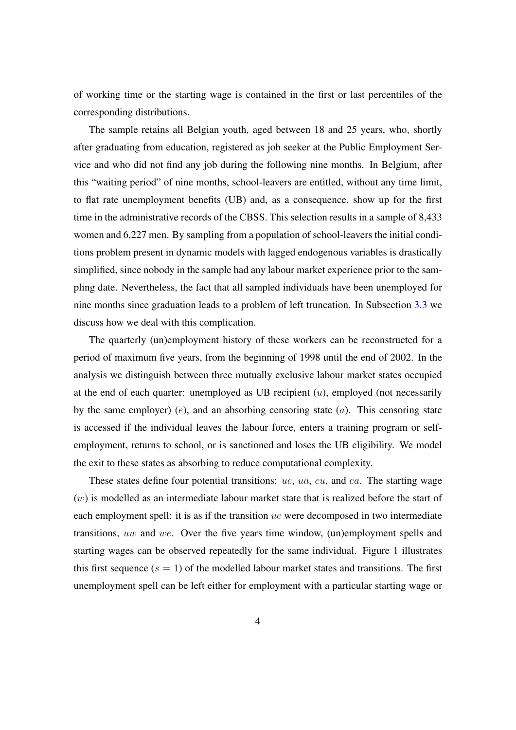of working time or the starting wage is contained in the first or last percentiles of the corresponding distributions.

The sample retains all Belgian youth, aged between 18 and 25 years, who, shortly after graduating from education, registered as job seeker at the Public Employment Service and who did not find any job during the following nine months. In Belgium, after this "waiting period" of nine months, school-leavers are entitled, without any time limit, to flat rate unemployment benefits (UB) and, as a consequence, show up for the first time in the administrative records of the CBSS. This selection results in a sample of 8,433 women and 6,227 men. By sampling from a population of school-leavers the initial conditions problem present in dynamic models with lagged endogenous variables is drastically simplified, since nobody in the sample had any labour market experience prior to the sampling date. Nevertheless, the fact that all sampled individuals have been unemployed for nine months since graduation leads to a problem of left truncation. In Subsection [3.3](#page-16-0) we discuss how we deal with this complication.

The quarterly (un)employment history of these workers can be reconstructed for a period of maximum five years, from the beginning of 1998 until the end of 2002. In the analysis we distinguish between three mutually exclusive labour market states occupied at the end of each quarter: unemployed as UB recipient  $(u)$ , employed (not necessarily by the same employer) (e), and an absorbing censoring state  $(a)$ . This censoring state is accessed if the individual leaves the labour force, enters a training program or selfemployment, returns to school, or is sanctioned and loses the UB eligibility. We model the exit to these states as absorbing to reduce computational complexity.

These states define four potential transitions: ue, ua, eu, and ea. The starting wage  $(w)$  is modelled as an intermediate labour market state that is realized before the start of each employment spell: it is as if the transition *ue* were decomposed in two intermediate transitions, uw and we. Over the five years time window, (un)employment spells and starting wages can be observed repeatedly for the same individual. Figure [1](#page-5-0) illustrates this first sequence  $(s = 1)$  of the modelled labour market states and transitions. The first unemployment spell can be left either for employment with a particular starting wage or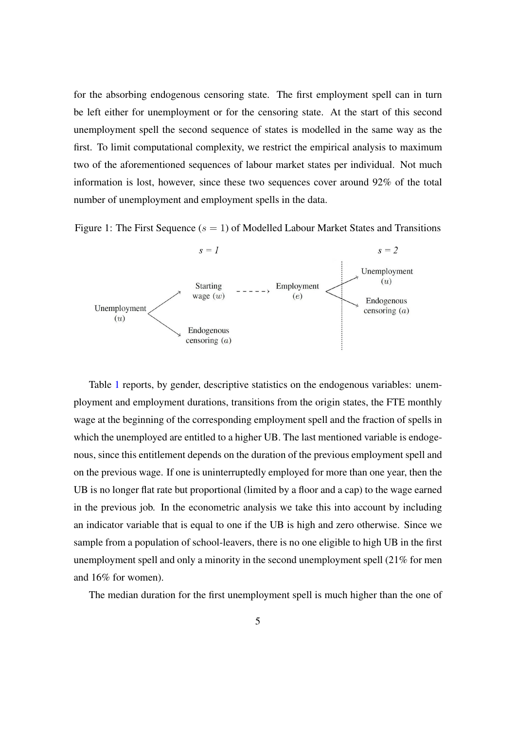for the absorbing endogenous censoring state. The first employment spell can in turn be left either for unemployment or for the censoring state. At the start of this second unemployment spell the second sequence of states is modelled in the same way as the first. To limit computational complexity, we restrict the empirical analysis to maximum two of the aforementioned sequences of labour market states per individual. Not much information is lost, however, since these two sequences cover around 92% of the total number of unemployment and employment spells in the data.

Figure 1: The First Sequence  $(s = 1)$  of Modelled Labour Market States and Transitions

<span id="page-5-0"></span>

Table [1](#page-6-0) reports, by gender, descriptive statistics on the endogenous variables: unemployment and employment durations, transitions from the origin states, the FTE monthly wage at the beginning of the corresponding employment spell and the fraction of spells in which the unemployed are entitled to a higher UB. The last mentioned variable is endogenous, since this entitlement depends on the duration of the previous employment spell and on the previous wage. If one is uninterruptedly employed for more than one year, then the UB is no longer flat rate but proportional (limited by a floor and a cap) to the wage earned in the previous job. In the econometric analysis we take this into account by including an indicator variable that is equal to one if the UB is high and zero otherwise. Since we sample from a population of school-leavers, there is no one eligible to high UB in the first unemployment spell and only a minority in the second unemployment spell (21% for men and 16% for women).

The median duration for the first unemployment spell is much higher than the one of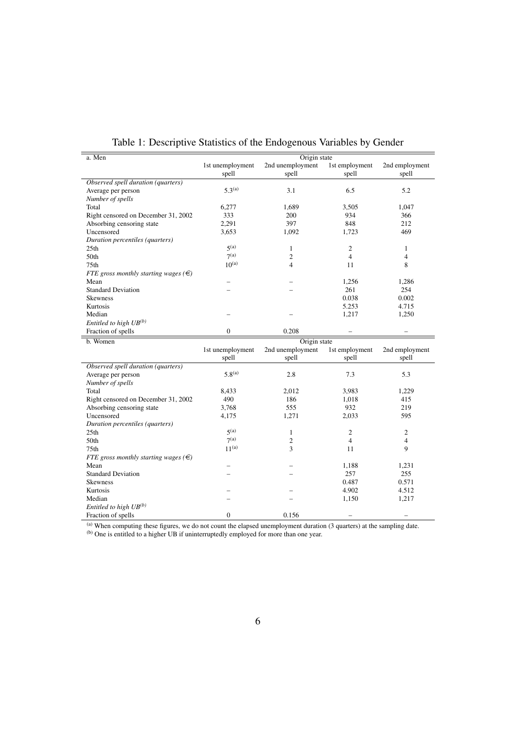| a. Men                                     |                  | Origin state     |                          |                |
|--------------------------------------------|------------------|------------------|--------------------------|----------------|
|                                            | 1st unemployment | 2nd unemployment | 1st employment           | 2nd employment |
|                                            | spell            | spell            | spell                    | spell          |
| Observed spell duration (quarters)         |                  |                  |                          |                |
| Average per person                         | $5.3^{(a)}$      | 3.1              | 6.5                      | 5.2            |
| Number of spells                           |                  |                  |                          |                |
| Total                                      | 6,277            | 1,689            | 3,505                    | 1,047          |
| Right censored on December 31, 2002        | 333              | 200              | 934                      | 366            |
| Absorbing censoring state                  | 2,291            | 397              | 848                      | 212            |
| Uncensored                                 | 3,653            | 1,092            | 1,723                    | 469            |
| Duration percentiles (quarters)            |                  |                  |                          |                |
| 25 <sub>th</sub>                           | 5 <sup>(a)</sup> | $\mathbf{1}$     | $\overline{c}$           | $\mathbf{1}$   |
| 50th                                       | 7 <sup>(a)</sup> | $\overline{2}$   | $\overline{4}$           | $\overline{4}$ |
| 75 <sub>th</sub>                           | $10^{(a)}$       | $\overline{4}$   | 11                       | 8              |
| FTE gross monthly starting wages ( $\in$ ) |                  |                  |                          |                |
| Mean                                       |                  |                  | 1,256                    | 1,286          |
| <b>Standard Deviation</b>                  |                  |                  | 261                      | 254            |
| <b>Skewness</b>                            |                  |                  | 0.038                    | 0.002          |
| Kurtosis                                   |                  |                  | 5.253                    | 4.715          |
| Median                                     |                  |                  | 1,217                    | 1,250          |
| Entitled to high $UB^{(b)}$                |                  |                  |                          |                |
| Fraction of spells                         | $\mathbf{0}$     | 0.208            | $\overline{\phantom{0}}$ |                |
| b. Women                                   |                  | Origin state     |                          |                |
|                                            | 1st unemployment | 2nd unemployment | 1st employment           | 2nd employment |
|                                            | spell            | spell            | spell                    | spell          |
| Observed spell duration (quarters)         |                  |                  |                          |                |
| Average per person                         | $5.8^{(a)}$      | 2.8              | 7.3                      | 5.3            |
| Number of spells                           |                  |                  |                          |                |
| Total                                      | 8,433            | 2,012            | 3,983                    | 1,229          |
| Right censored on December 31, 2002        | 490              | 186              | 1,018                    | 415            |
| Absorbing censoring state                  | 3,768            | 555              | 932                      | 219            |
| Uncensored                                 | 4,175            | 1,271            | 2,033                    | 595            |
| Duration percentiles (quarters)            |                  |                  |                          |                |
| 25th                                       | 5 <sup>(a)</sup> | $\mathbf{1}$     | $\overline{c}$           | $\overline{c}$ |
| 50th                                       | 7 <sup>(a)</sup> | $\overline{c}$   | $\overline{4}$           | $\overline{4}$ |
| 75th                                       | $11^{(a)}$       | 3                | 11                       | 9              |
| FTE gross monthly starting wages $(\in)$   |                  |                  |                          |                |
| Mean                                       |                  |                  | 1,188                    | 1,231          |
| <b>Standard Deviation</b>                  |                  |                  | 257                      | 255            |
| <b>Skewness</b>                            |                  |                  | 0.487                    | 0.571          |
| Kurtosis                                   |                  |                  | 4.902                    | 4.512          |
| Median                                     |                  |                  |                          |                |
|                                            |                  |                  | 1,150                    | 1,217          |
| Entitled to high $UB^{(b)}$                |                  |                  |                          |                |

<span id="page-6-0"></span>Table 1: Descriptive Statistics of the Endogenous Variables by Gender

 $(a)$  When computing these figures, we do not count the elapsed unemployment duration (3 quarters) at the sampling date.

(b) One is entitled to a higher UB if uninterruptedly employed for more than one year.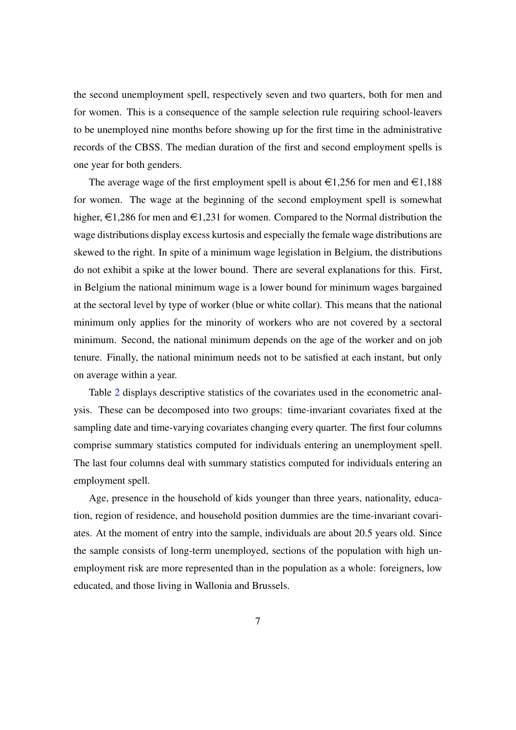the second unemployment spell, respectively seven and two quarters, both for men and for women. This is a consequence of the sample selection rule requiring school-leavers to be unemployed nine months before showing up for the first time in the administrative records of the CBSS. The median duration of the first and second employment spells is one year for both genders.

The average wage of the first employment spell is about  $\in$ 1,256 for men and  $\in$ 1,188 for women. The wage at the beginning of the second employment spell is somewhat higher,  $\epsilon$ 1,286 for men and  $\epsilon$ 1,231 for women. Compared to the Normal distribution the wage distributions display excess kurtosis and especially the female wage distributions are skewed to the right. In spite of a minimum wage legislation in Belgium, the distributions do not exhibit a spike at the lower bound. There are several explanations for this. First, in Belgium the national minimum wage is a lower bound for minimum wages bargained at the sectoral level by type of worker (blue or white collar). This means that the national minimum only applies for the minority of workers who are not covered by a sectoral minimum. Second, the national minimum depends on the age of the worker and on job tenure. Finally, the national minimum needs not to be satisfied at each instant, but only on average within a year.

Table [2](#page-8-0) displays descriptive statistics of the covariates used in the econometric analysis. These can be decomposed into two groups: time-invariant covariates fixed at the sampling date and time-varying covariates changing every quarter. The first four columns comprise summary statistics computed for individuals entering an unemployment spell. The last four columns deal with summary statistics computed for individuals entering an employment spell.

Age, presence in the household of kids younger than three years, nationality, education, region of residence, and household position dummies are the time-invariant covariates. At the moment of entry into the sample, individuals are about 20.5 years old. Since the sample consists of long-term unemployed, sections of the population with high unemployment risk are more represented than in the population as a whole: foreigners, low educated, and those living in Wallonia and Brussels.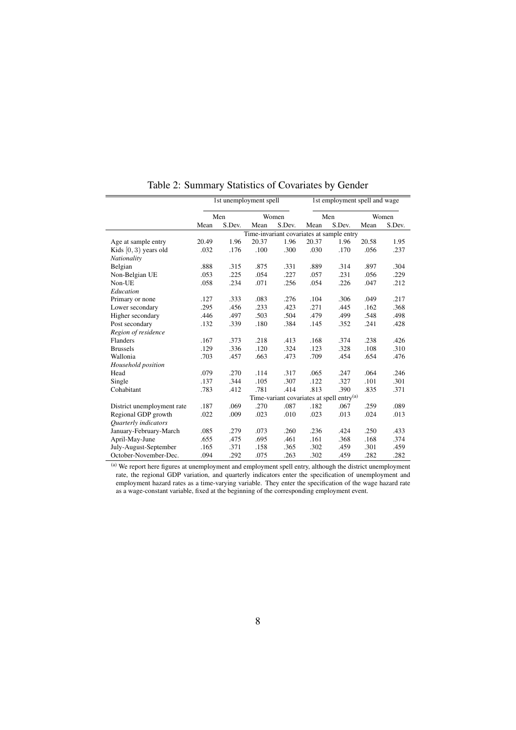|                            |       | 1st unemployment spell |       |                                                       |       | 1st employment spell and wage |       |        |
|----------------------------|-------|------------------------|-------|-------------------------------------------------------|-------|-------------------------------|-------|--------|
|                            |       | Men                    |       | Women                                                 |       | Men                           |       | Women  |
|                            | Mean  | S.Dev.                 | Mean  | S.Dev.                                                | Mean  | S.Dev.                        | Mean  | S.Dev. |
|                            |       |                        |       | Time-invariant covariates at sample entry             |       |                               |       |        |
| Age at sample entry        | 20.49 | 1.96                   | 20.37 | 1.96                                                  | 20.37 | 1.96                          | 20.58 | 1.95   |
| Kids $[0, 3)$ years old    | .032  | .176                   | .100  | .300                                                  | .030  | .170                          | .056  | .237   |
| Nationality                |       |                        |       |                                                       |       |                               |       |        |
| Belgian                    | .888  | .315                   | .875  | .331                                                  | .889  | .314                          | .897  | .304   |
| Non-Belgian UE             | .053  | .225                   | .054  | .227                                                  | .057  | .231                          | .056  | .229   |
| Non-UE                     | .058  | .234                   | .071  | .256                                                  | .054  | .226                          | .047  | .212   |
| Education                  |       |                        |       |                                                       |       |                               |       |        |
| Primary or none            | .127  | .333                   | .083  | .276                                                  | .104  | .306                          | .049  | .217   |
| Lower secondary            | .295  | .456                   | .233  | .423                                                  | .271  | .445                          | .162  | .368   |
| Higher secondary           | .446  | .497                   | .503  | .504                                                  | .479  | .499                          | .548  | .498   |
| Post secondary             | .132  | .339                   | .180  | .384                                                  | .145  | .352                          | .241  | .428   |
| Region of residence        |       |                        |       |                                                       |       |                               |       |        |
| Flanders                   | .167  | .373                   | .218  | .413                                                  | .168  | .374                          | .238  | .426   |
| <b>Brussels</b>            | .129  | .336                   | .120  | .324                                                  | .123  | .328                          | .108  | .310   |
| Wallonia                   | .703  | .457                   | .663  | .473                                                  | .709  | .454                          | .654  | .476   |
| Household position         |       |                        |       |                                                       |       |                               |       |        |
| Head                       | .079  | .270                   | .114  | .317                                                  | .065  | .247                          | .064  | .246   |
| Single                     | .137  | .344                   | .105  | .307                                                  | .122  | .327                          | .101  | .301   |
| Cohabitant                 | .783  | .412                   | .781  | .414                                                  | .813  | .390                          | .835  | .371   |
|                            |       |                        |       | Time-variant covariates at spell entry <sup>(a)</sup> |       |                               |       |        |
| District unemployment rate | .187  | .069                   | .270  | .087                                                  | .182  | .067                          | .259  | .089   |
| Regional GDP growth        | .022  | .009                   | .023  | .010                                                  | .023  | .013                          | .024  | .013   |
| Quarterly indicators       |       |                        |       |                                                       |       |                               |       |        |
| January-February-March     | .085  | .279                   | .073  | .260                                                  | .236  | .424                          | .250  | .433   |
| April-May-June             | .655  | .475                   | .695  | .461                                                  | .161  | .368                          | .168  | .374   |
| July-August-September      | .165  | .371                   | .158  | .365                                                  | .302  | .459                          | .301  | .459   |
| October-November-Dec.      | .094  | .292                   | .075  | .263                                                  | .302  | .459                          | .282  | .282   |

<span id="page-8-0"></span>Table 2: Summary Statistics of Covariates by Gender

(a) We report here figures at unemployment and employment spell entry, although the district unemployment rate, the regional GDP variation, and quarterly indicators enter the specification of unemployment and employment hazard rates as a time-varying variable. They enter the specification of the wage hazard rate as a wage-constant variable, fixed at the beginning of the corresponding employment event.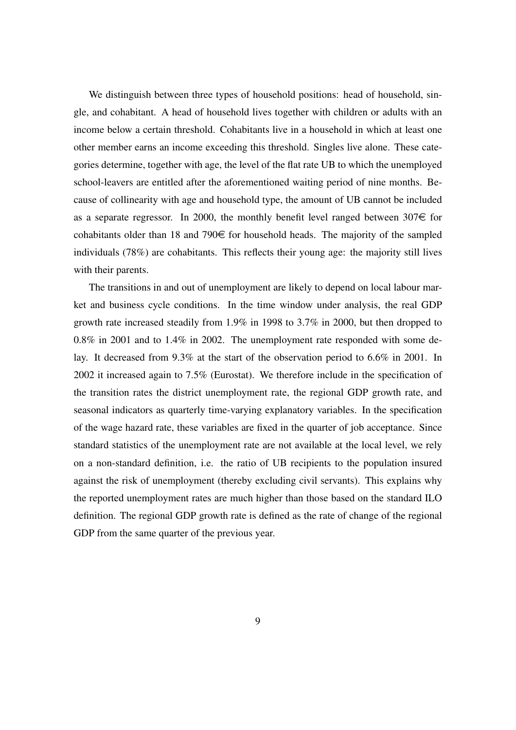We distinguish between three types of household positions: head of household, single, and cohabitant. A head of household lives together with children or adults with an income below a certain threshold. Cohabitants live in a household in which at least one other member earns an income exceeding this threshold. Singles live alone. These categories determine, together with age, the level of the flat rate UB to which the unemployed school-leavers are entitled after the aforementioned waiting period of nine months. Because of collinearity with age and household type, the amount of UB cannot be included as a separate regressor. In 2000, the monthly benefit level ranged between  $307 \in$  for cohabitants older than 18 and 790 $\in$  for household heads. The majority of the sampled individuals (78%) are cohabitants. This reflects their young age: the majority still lives with their parents.

The transitions in and out of unemployment are likely to depend on local labour market and business cycle conditions. In the time window under analysis, the real GDP growth rate increased steadily from 1.9% in 1998 to 3.7% in 2000, but then dropped to 0.8% in 2001 and to 1.4% in 2002. The unemployment rate responded with some delay. It decreased from 9.3% at the start of the observation period to 6.6% in 2001. In 2002 it increased again to 7.5% (Eurostat). We therefore include in the specification of the transition rates the district unemployment rate, the regional GDP growth rate, and seasonal indicators as quarterly time-varying explanatory variables. In the specification of the wage hazard rate, these variables are fixed in the quarter of job acceptance. Since standard statistics of the unemployment rate are not available at the local level, we rely on a non-standard definition, i.e. the ratio of UB recipients to the population insured against the risk of unemployment (thereby excluding civil servants). This explains why the reported unemployment rates are much higher than those based on the standard ILO definition. The regional GDP growth rate is defined as the rate of change of the regional GDP from the same quarter of the previous year.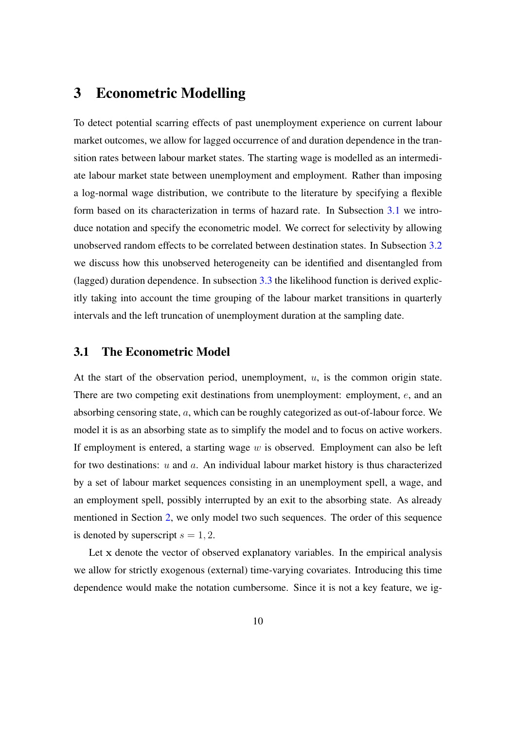## <span id="page-10-0"></span>3 Econometric Modelling

To detect potential scarring effects of past unemployment experience on current labour market outcomes, we allow for lagged occurrence of and duration dependence in the transition rates between labour market states. The starting wage is modelled as an intermediate labour market state between unemployment and employment. Rather than imposing a log-normal wage distribution, we contribute to the literature by specifying a flexible form based on its characterization in terms of hazard rate. In Subsection [3.1](#page-10-1) we introduce notation and specify the econometric model. We correct for selectivity by allowing unobserved random effects to be correlated between destination states. In Subsection [3.2](#page-15-0) we discuss how this unobserved heterogeneity can be identified and disentangled from (lagged) duration dependence. In subsection [3.3](#page-16-0) the likelihood function is derived explicitly taking into account the time grouping of the labour market transitions in quarterly intervals and the left truncation of unemployment duration at the sampling date.

### <span id="page-10-1"></span>3.1 The Econometric Model

At the start of the observation period, unemployment,  $u$ , is the common origin state. There are two competing exit destinations from unemployment: employment, e, and an absorbing censoring state, a, which can be roughly categorized as out-of-labour force. We model it is as an absorbing state as to simplify the model and to focus on active workers. If employment is entered, a starting wage  $w$  is observed. Employment can also be left for two destinations:  $u$  and  $a$ . An individual labour market history is thus characterized by a set of labour market sequences consisting in an unemployment spell, a wage, and an employment spell, possibly interrupted by an exit to the absorbing state. As already mentioned in Section [2,](#page-3-0) we only model two such sequences. The order of this sequence is denoted by superscript  $s = 1, 2$ .

Let x denote the vector of observed explanatory variables. In the empirical analysis we allow for strictly exogenous (external) time-varying covariates. Introducing this time dependence would make the notation cumbersome. Since it is not a key feature, we ig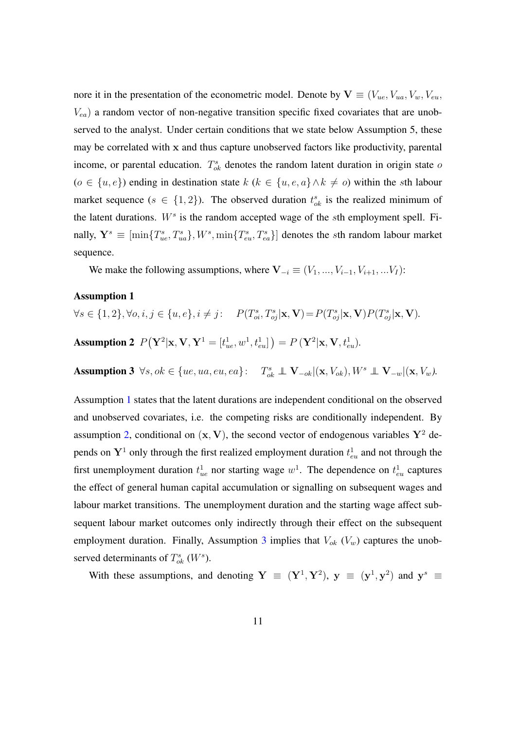nore it in the presentation of the econometric model. Denote by  $\mathbf{V} \equiv (V_{ue}, V_{ua}, V_w, V_{eu}, V_{uu})$  $V_{ea}$ ) a random vector of non-negative transition specific fixed covariates that are unobserved to the analyst. Under certain conditions that we state below Assumption 5, these may be correlated with  $x$  and thus capture unobserved factors like productivity, parental income, or parental education.  $T_{ok}^s$  denotes the random latent duration in origin state of  $(o \in \{u, e\})$  ending in destination state  $k$   $(k \in \{u, e, a\} \land k \neq o)$  within the sth labour market sequence ( $s \in \{1, 2\}$ ). The observed duration  $t_{ok}^s$  is the realized minimum of the latent durations.  $W^s$  is the random accepted wage of the sth employment spell. Finally,  $Y^s \equiv \left[ \min\{T_{ue}^s, T_{ua}^s\}, W^s, \min\{T_{eu}^s, T_{ea}^s\} \right]$  denotes the sth random labour market sequence.

<span id="page-11-0"></span>We make the following assumptions, where  $V_{-i} \equiv (V_1, ..., V_{i-1}, V_{i+1}, ... V_I)$ :

#### Assumption 1

<span id="page-11-1"></span>
$$
\forall s \in \{1, 2\}, \forall o, i, j \in \{u, e\}, i \neq j: \quad P(T_{oi}^s, T_{oj}^s | \mathbf{x}, \mathbf{V}) = P(T_{oj}^s | \mathbf{x}, \mathbf{V}) P(T_{oj}^s | \mathbf{x}, \mathbf{V}).
$$
  
**Assumption 2**  $P(\mathbf{Y}^2 | \mathbf{x}, \mathbf{V}, \mathbf{Y}^1 = [t_{ue}^1, w^1, t_{eu}^1]) = P(\mathbf{Y}^2 | \mathbf{x}, \mathbf{V}, t_{eu}^1).$ 

<span id="page-11-2"></span>**Assumption 3**  $\forall s, ok \in \{ue, ua, eu, ea\}$ :  $T_{ok}^s \perp \!\!\! \perp \mathbf{V}_{-ok} |(\mathbf{x}, V_{ok}), W^s \perp \!\!\! \perp \mathbf{V}_{-w} |(\mathbf{x}, V_w)$ .

Assumption [1](#page-11-0) states that the latent durations are independent conditional on the observed and unobserved covariates, i.e. the competing risks are conditionally independent. By assumption [2,](#page-11-1) conditional on  $(x, V)$ , the second vector of endogenous variables  $Y^2$  depends on  $Y^1$  only through the first realized employment duration  $t_{eu}^1$  and not through the first unemployment duration  $t_{ue}^1$  nor starting wage  $w^1$ . The dependence on  $t_{eu}^1$  captures the effect of general human capital accumulation or signalling on subsequent wages and labour market transitions. The unemployment duration and the starting wage affect subsequent labour market outcomes only indirectly through their effect on the subsequent employment duration. Finally, Assumption [3](#page-11-2) implies that  $V_{ok}$  ( $V_w$ ) captures the unobserved determinants of  $T_{ok}^s$  ( $W^s$ ).

With these assumptions, and denoting  $Y \equiv (Y^1, Y^2)$ ,  $y \equiv (y^1, y^2)$  and  $y^s \equiv$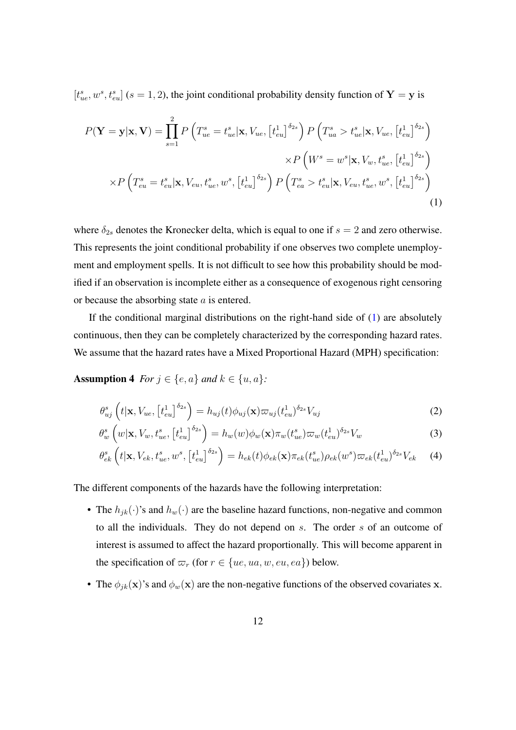$[t_{ue}^s, w^s, t_{eu}^s]$  (s = 1, 2), the joint conditional probability density function of Y = y is

<span id="page-12-0"></span>
$$
P(\mathbf{Y} = \mathbf{y}|\mathbf{x}, \mathbf{V}) = \prod_{s=1}^{2} P\left(T_{ue}^{s} = t_{ue}^{s}|\mathbf{x}, V_{ue}, \left[t_{eu}^{1}\right]^{\delta_{2s}}\right) P\left(T_{ua}^{s} > t_{ue}^{s}|\mathbf{x}, V_{ue}, \left[t_{eu}^{1}\right]^{\delta_{2s}}\right) \times P\left(W^{s} = w^{s}|\mathbf{x}, V_{w}, t_{ue}^{s}, \left[t_{eu}^{1}\right]^{\delta_{2s}}\right) \times P\left(T_{eu}^{s} = t_{eu}^{s}|\mathbf{x}, V_{eu}, t_{ue}^{s}, w^{s}, \left[t_{eu}^{1}\right]^{\delta_{2s}}\right) P\left(T_{ea}^{s} > t_{eu}^{s}|\mathbf{x}, V_{eu}, t_{ue}^{s}, w^{s}, \left[t_{eu}^{1}\right]^{\delta_{2s}}\right)
$$
\n(1)

where  $\delta_{2s}$  denotes the Kronecker delta, which is equal to one if  $s = 2$  and zero otherwise. This represents the joint conditional probability if one observes two complete unemployment and employment spells. It is not difficult to see how this probability should be modified if an observation is incomplete either as a consequence of exogenous right censoring or because the absorbing state a is entered.

If the conditional marginal distributions on the right-hand side of  $(1)$  are absolutely continuous, then they can be completely characterized by the corresponding hazard rates. We assume that the hazard rates have a Mixed Proportional Hazard (MPH) specification:

Assumption 4 *For*  $j \in \{e, a\}$  *and*  $k \in \{u, a\}$ *:* 

<span id="page-12-1"></span>
$$
\theta_{uj}^s \left( t | \mathbf{x}, V_{ue}, \left[ t_{eu}^1 \right]^{\delta_{2s}} \right) = h_{uj}(t) \phi_{uj}(\mathbf{x}) \varpi_{uj}(t_{eu}^1)^{\delta_{2s}} V_{uj} \tag{2}
$$

$$
\theta_w^s \left( w | \mathbf{x}, V_w, t_{ue}^s, \left[ t_{eu}^1 \right]^{\delta_{2s}} \right) = h_w(w) \phi_w(\mathbf{x}) \pi_w(t_{ue}^s) \varpi_w(t_{eu}^1)^{\delta_{2s}} V_w \tag{3}
$$

<span id="page-12-2"></span>
$$
\theta_{ek}^s\left(t|\mathbf{x}, V_{ek}, t_{ue}^s, w^s, \left[t_{eu}^1\right]^{\delta_{2s}}\right) = h_{ek}(t)\phi_{ek}(\mathbf{x})\pi_{ek}(t_{ue}^s)\rho_{ek}(w^s)\varpi_{ek}(t_{eu}^1)^{\delta_{2s}}V_{ek}
$$
(4)

The different components of the hazards have the following interpretation:

- The  $h_{jk}(\cdot)$ 's and  $h_w(\cdot)$  are the baseline hazard functions, non-negative and common to all the individuals. They do not depend on s. The order s of an outcome of interest is assumed to affect the hazard proportionally. This will become apparent in the specification of  $\varpi_r$  (for  $r \in \{ue, ua, w, eu, ea\}$ ) below.
- The  $\phi_{ik}(\mathbf{x})$ 's and  $\phi_w(\mathbf{x})$  are the non-negative functions of the observed covariates x.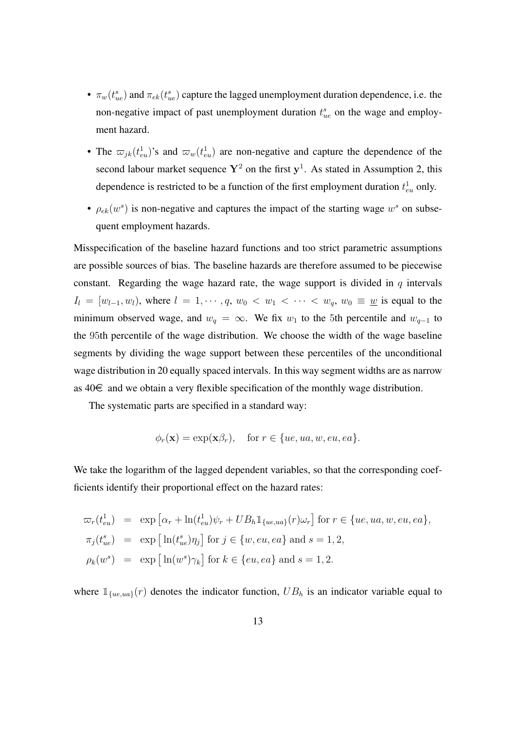- $\pi_w(t_{ue}^s)$  and  $\pi_{ek}(t_{ue}^s)$  capture the lagged unemployment duration dependence, i.e. the non-negative impact of past unemployment duration  $t_{ue}^s$  on the wage and employment hazard.
- The  $\varpi_{jk}(t_{eu}^1)$ 's and  $\varpi_w(t_{eu}^1)$  are non-negative and capture the dependence of the second labour market sequence  $Y^2$  on the first  $y^1$ . As stated in Assumption 2, this dependence is restricted to be a function of the first employment duration  $t_{eu}^1$  only.
- $\rho_{ek}(w^s)$  is non-negative and captures the impact of the starting wage  $w^s$  on subsequent employment hazards.

Misspecification of the baseline hazard functions and too strict parametric assumptions are possible sources of bias. The baseline hazards are therefore assumed to be piecewise constant. Regarding the wage hazard rate, the wage support is divided in  $q$  intervals  $I_l = [w_{l-1}, w_l)$ , where  $l = 1, \dots, q, w_0 < w_1 < \dots < w_q, w_0 \equiv \underline{w}$  is equal to the minimum observed wage, and  $w_q = \infty$ . We fix  $w_1$  to the 5th percentile and  $w_{q-1}$  to the 95th percentile of the wage distribution. We choose the width of the wage baseline segments by dividing the wage support between these percentiles of the unconditional wage distribution in 20 equally spaced intervals. In this way segment widths are as narrow as  $40 \in \mathbb{R}$  and we obtain a very flexible specification of the monthly wage distribution.

The systematic parts are specified in a standard way:

<span id="page-13-0"></span>
$$
\phi_r(\mathbf{x}) = \exp(\mathbf{x}\beta_r), \text{ for } r \in \{ue, ua, w, eu, ea\}.
$$

We take the logarithm of the lagged dependent variables, so that the corresponding coefficients identify their proportional effect on the hazard rates:

$$
\varpi_r(t_{eu}^1) = \exp \left[ \alpha_r + \ln(t_{eu}^1)\psi_r + UB_h \mathbb{1}_{\{ue, ua\}}(r)\omega_r \right] \text{ for } r \in \{ue, ua, w, eu, ea\},
$$
  
\n
$$
\pi_j(t_{ue}^s) = \exp \left[ \ln(t_{ue}^s)\eta_j \right] \text{ for } j \in \{w, eu, ea\} \text{ and } s = 1, 2,
$$
  
\n
$$
\rho_k(w^s) = \exp \left[ \ln(w^s)\gamma_k \right] \text{ for } k \in \{eu, ea\} \text{ and } s = 1, 2.
$$

where  $\mathbb{1}_{\{ue,ua\}}(r)$  denotes the indicator function,  $UB<sub>h</sub>$  is an indicator variable equal to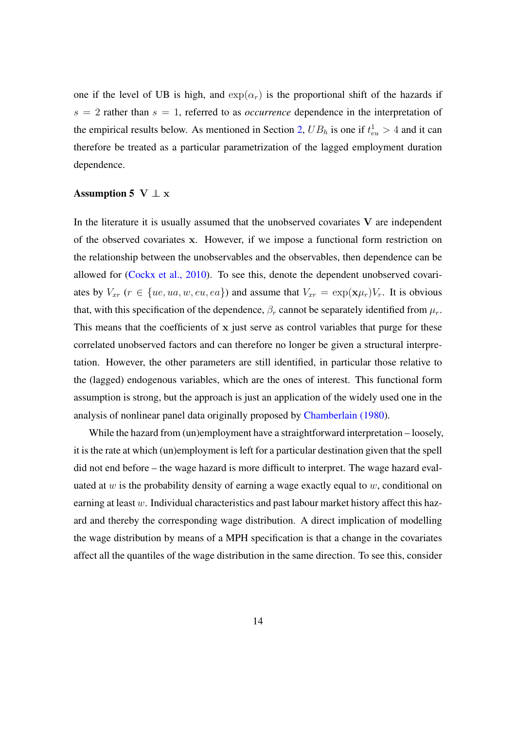one if the level of UB is high, and  $\exp(\alpha_r)$  is the proportional shift of the hazards if  $s = 2$  rather than  $s = 1$ , referred to as *occurrence* dependence in the interpretation of the empirical results below. As mentioned in Section [2,](#page-3-0)  $UB_h$  is one if  $t_{eu}^1 > 4$  and it can therefore be treated as a particular parametrization of the lagged employment duration dependence.

#### Assumption 5 V  $\perp$  x

In the literature it is usually assumed that the unobserved covariates  $V$  are independent of the observed covariates x. However, if we impose a functional form restriction on the relationship between the unobservables and the observables, then dependence can be allowed for [\(Cockx et al., 2010\)](#page-38-6). To see this, denote the dependent unobserved covariates by  $V_{xr}$   $(r \in \{ue, ua, w, eu, ea\})$  and assume that  $V_{xr} = \exp(\mathbf{x}\mu_r)V_r$ . It is obvious that, with this specification of the dependence,  $\beta_r$  cannot be separately identified from  $\mu_r$ . This means that the coefficients of  $x$  just serve as control variables that purge for these correlated unobserved factors and can therefore no longer be given a structural interpretation. However, the other parameters are still identified, in particular those relative to the (lagged) endogenous variables, which are the ones of interest. This functional form assumption is strong, but the approach is just an application of the widely used one in the analysis of nonlinear panel data originally proposed by [Chamberlain \(1980\)](#page-38-7).

While the hazard from (un)employment have a straightforward interpretation – loosely, it is the rate at which (un)employment is left for a particular destination given that the spell did not end before – the wage hazard is more difficult to interpret. The wage hazard evaluated at w is the probability density of earning a wage exactly equal to  $w$ , conditional on earning at least  $w$ . Individual characteristics and past labour market history affect this hazard and thereby the corresponding wage distribution. A direct implication of modelling the wage distribution by means of a MPH specification is that a change in the covariates affect all the quantiles of the wage distribution in the same direction. To see this, consider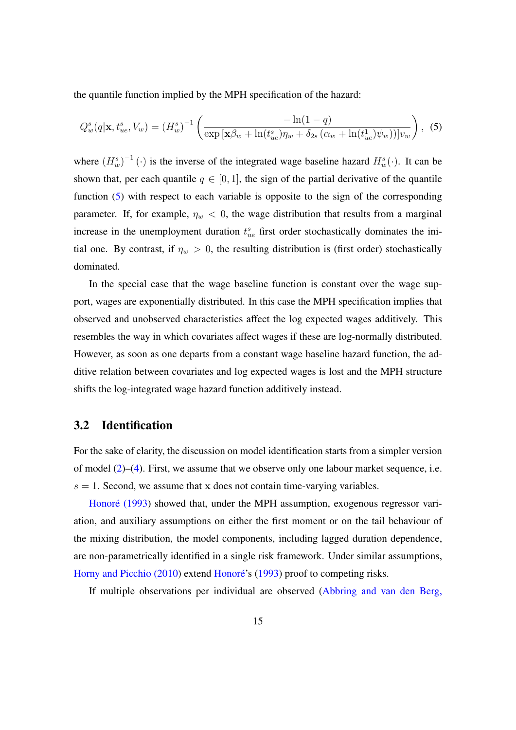the quantile function implied by the MPH specification of the hazard:

$$
Q_w^s(q|\mathbf{x}, t_{ue}^s, V_w) = (H_w^s)^{-1} \left( \frac{-\ln(1-q)}{\exp\left[\mathbf{x}\beta_w + \ln(t_{ue}^s)\eta_w + \delta_{2s} \left(\alpha_w + \ln(t_{ue}^1)\psi_w\right)\right]v_w} \right), \tag{5}
$$

where  $(H_w^s)^{-1}(\cdot)$  is the inverse of the integrated wage baseline hazard  $H_w^s(\cdot)$ . It can be shown that, per each quantile  $q \in [0, 1]$ , the sign of the partial derivative of the quantile function [\(5\)](#page-13-0) with respect to each variable is opposite to the sign of the corresponding parameter. If, for example,  $\eta_w < 0$ , the wage distribution that results from a marginal increase in the unemployment duration  $t_{ue}^s$  first order stochastically dominates the initial one. By contrast, if  $\eta_w > 0$ , the resulting distribution is (first order) stochastically dominated.

In the special case that the wage baseline function is constant over the wage support, wages are exponentially distributed. In this case the MPH specification implies that observed and unobserved characteristics affect the log expected wages additively. This resembles the way in which covariates affect wages if these are log-normally distributed. However, as soon as one departs from a constant wage baseline hazard function, the additive relation between covariates and log expected wages is lost and the MPH structure shifts the log-integrated wage hazard function additively instead.

### <span id="page-15-0"></span>3.2 Identification

For the sake of clarity, the discussion on model identification starts from a simpler version of model [\(2\)](#page-12-1)–[\(4\)](#page-12-2). First, we assume that we observe only one labour market sequence, i.e.  $s = 1$ . Second, we assume that x does not contain time-varying variables.

[Honoré \(1993\)](#page-39-9) showed that, under the MPH assumption, exogenous regressor variation, and auxiliary assumptions on either the first moment or on the tail behaviour of the mixing distribution, the model components, including lagged duration dependence, are non-parametrically identified in a single risk framework. Under similar assumptions, [Horny and Picchio \(2010\)](#page-40-5) extend [Honoré'](#page-39-9)s [\(1993\)](#page-39-9) proof to competing risks.

If multiple observations per individual are observed [\(Abbring and van den Berg,](#page-38-8)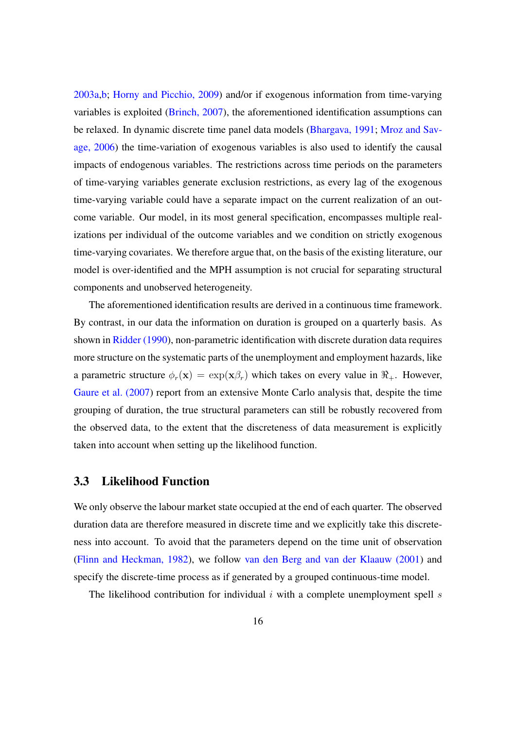[2003a](#page-38-8)[,b;](#page-38-9) [Horny and Picchio, 2009\)](#page-39-10) and/or if exogenous information from time-varying variables is exploited [\(Brinch, 2007\)](#page-38-10), the aforementioned identification assumptions can be relaxed. In dynamic discrete time panel data models [\(Bhargava, 1991;](#page-38-11) [Mroz and Sav](#page-40-0)[age, 2006\)](#page-40-0) the time-variation of exogenous variables is also used to identify the causal impacts of endogenous variables. The restrictions across time periods on the parameters of time-varying variables generate exclusion restrictions, as every lag of the exogenous time-varying variable could have a separate impact on the current realization of an outcome variable. Our model, in its most general specification, encompasses multiple realizations per individual of the outcome variables and we condition on strictly exogenous time-varying covariates. We therefore argue that, on the basis of the existing literature, our model is over-identified and the MPH assumption is not crucial for separating structural components and unobserved heterogeneity.

The aforementioned identification results are derived in a continuous time framework. By contrast, in our data the information on duration is grouped on a quarterly basis. As shown in [Ridder \(1990\)](#page-40-6), non-parametric identification with discrete duration data requires more structure on the systematic parts of the unemployment and employment hazards, like a parametric structure  $\phi_r(\mathbf{x}) = \exp(\mathbf{x}\beta_r)$  which takes on every value in  $\Re_{+}$ . However, [Gaure et al. \(2007\)](#page-39-11) report from an extensive Monte Carlo analysis that, despite the time grouping of duration, the true structural parameters can still be robustly recovered from the observed data, to the extent that the discreteness of data measurement is explicitly taken into account when setting up the likelihood function.

### <span id="page-16-0"></span>3.3 Likelihood Function

We only observe the labour market state occupied at the end of each quarter. The observed duration data are therefore measured in discrete time and we explicitly take this discreteness into account. To avoid that the parameters depend on the time unit of observation [\(Flinn and Heckman, 1982\)](#page-39-12), we follow [van den Berg and van der Klaauw \(2001\)](#page-40-7) and specify the discrete-time process as if generated by a grouped continuous-time model.

The likelihood contribution for individual  $i$  with a complete unemployment spell  $s$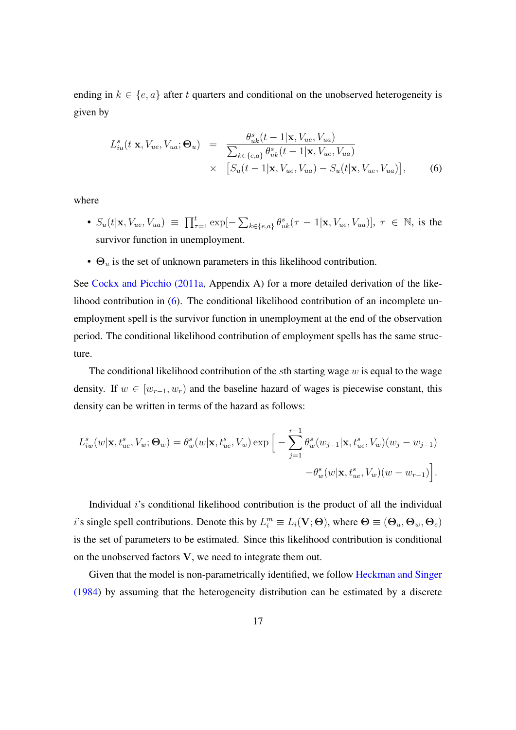ending in  $k \in \{e, a\}$  after t quarters and conditional on the unobserved heterogeneity is given by

<span id="page-17-0"></span>
$$
L_{iu}^s(t|\mathbf{x}, V_{ue}, V_{ua}; \mathbf{\Theta}_u) = \frac{\theta_{uk}^s(t-1|\mathbf{x}, V_{ue}, V_{ua})}{\sum_{k \in \{e, a\}} \theta_{uk}^s(t-1|\mathbf{x}, V_{ue}, V_{ua})}
$$
  
 
$$
\times \left[ S_u(t-1|\mathbf{x}, V_{ue}, V_{ua}) - S_u(t|\mathbf{x}, V_{ue}, V_{ua}) \right],
$$
 (6)

where

- $S_u(t|\mathbf{x}, V_{ue}, V_{ua}) \equiv \prod_{\tau=1}^t \exp[-\sum_{k \in \{e,a\}} \theta_{uk}^s(\tau-1|\mathbf{x}, V_{ue}, V_{ua})], \tau \in \mathbb{N}$ , is the survivor function in unemployment.
- $\Theta_u$  is the set of unknown parameters in this likelihood contribution.

See [Cockx and Picchio \(2011a,](#page-39-6) Appendix A) for a more detailed derivation of the likelihood contribution in [\(6\)](#page-17-0). The conditional likelihood contribution of an incomplete unemployment spell is the survivor function in unemployment at the end of the observation period. The conditional likelihood contribution of employment spells has the same structure.

The conditional likelihood contribution of the sth starting wage  $w$  is equal to the wage density. If  $w \in [w_{r-1}, w_r)$  and the baseline hazard of wages is piecewise constant, this density can be written in terms of the hazard as follows:

$$
L_{iw}^s(w|\mathbf{x}, t_{ue}^s, V_w; \mathbf{\Theta}_w) = \theta_w^s(w|\mathbf{x}, t_{ue}^s, V_w) \exp\Big[-\sum_{j=1}^{r-1} \theta_w^s(w_{j-1}|\mathbf{x}, t_{ue}^s, V_w)(w_j - w_{j-1}) -\theta_w^s(w|\mathbf{x}, t_{ue}^s, V_w)(w - w_{r-1})\Big].
$$

Individual i's conditional likelihood contribution is the product of all the individual i's single spell contributions. Denote this by  $L_i^m \equiv L_i(\mathbf{V}; \mathbf{\Theta})$ , where  $\mathbf{\Theta} \equiv (\mathbf{\Theta}_u, \mathbf{\Theta}_w, \mathbf{\Theta}_e)$ is the set of parameters to be estimated. Since this likelihood contribution is conditional on the unobserved factors V, we need to integrate them out.

Given that the model is non-parametrically identified, we follow [Heckman and Singer](#page-39-13) [\(1984\)](#page-39-13) by assuming that the heterogeneity distribution can be estimated by a discrete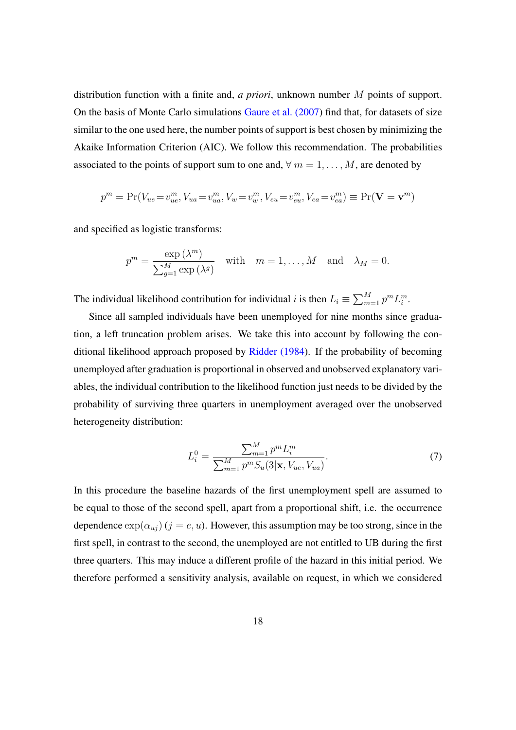distribution function with a finite and, *a priori*, unknown number M points of support. On the basis of Monte Carlo simulations [Gaure et al. \(2007\)](#page-39-11) find that, for datasets of size similar to the one used here, the number points of support is best chosen by minimizing the Akaike Information Criterion (AIC). We follow this recommendation. The probabilities associated to the points of support sum to one and,  $\forall m = 1, ..., M$ , are denoted by

$$
p^{m} = \Pr(V_{ue} = v_{ue}^{m}, V_{ua} = v_{ua}^{m}, V_{w} = v_{w}^{m}, V_{eu} = v_{eu}^{m}, V_{ea} = v_{ea}^{m}) \equiv \Pr(\mathbf{V} = \mathbf{v}^{m})
$$

and specified as logistic transforms:

$$
p^{m} = \frac{\exp{(\lambda^{m})}}{\sum_{g=1}^{M} \exp{(\lambda^{g})}} \quad \text{with} \quad m = 1, ..., M \quad \text{and} \quad \lambda_{M} = 0.
$$

The individual likelihood contribution for individual i is then  $L_i \equiv \sum_{m=1}^{M} p^m L_i^m$ .

Since all sampled individuals have been unemployed for nine months since graduation, a left truncation problem arises. We take this into account by following the conditional likelihood approach proposed by [Ridder \(1984\)](#page-40-8). If the probability of becoming unemployed after graduation is proportional in observed and unobserved explanatory variables, the individual contribution to the likelihood function just needs to be divided by the probability of surviving three quarters in unemployment averaged over the unobserved heterogeneity distribution:

$$
L_i^0 = \frac{\sum_{m=1}^M p^m L_i^m}{\sum_{m=1}^M p^m S_u(3|\mathbf{x}, V_{ue}, V_{ua})}.
$$
 (7)

In this procedure the baseline hazards of the first unemployment spell are assumed to be equal to those of the second spell, apart from a proportional shift, i.e. the occurrence dependence  $\exp(\alpha_{uj})$  (j = e, u). However, this assumption may be too strong, since in the first spell, in contrast to the second, the unemployed are not entitled to UB during the first three quarters. This may induce a different profile of the hazard in this initial period. We therefore performed a sensitivity analysis, available on request, in which we considered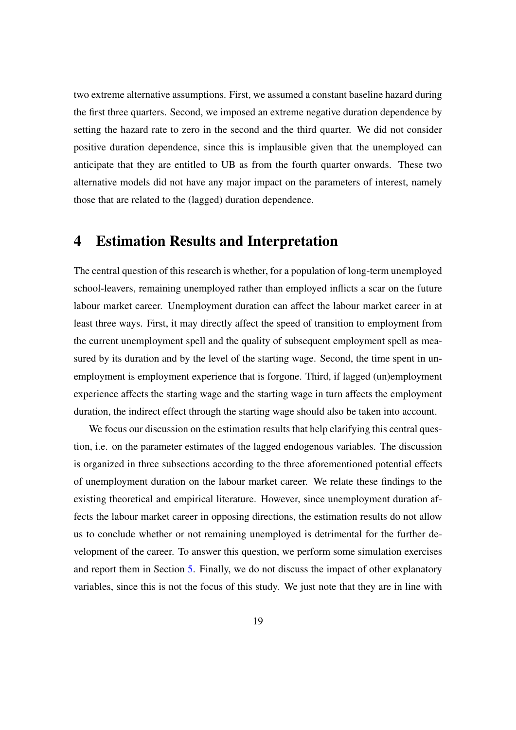two extreme alternative assumptions. First, we assumed a constant baseline hazard during the first three quarters. Second, we imposed an extreme negative duration dependence by setting the hazard rate to zero in the second and the third quarter. We did not consider positive duration dependence, since this is implausible given that the unemployed can anticipate that they are entitled to UB as from the fourth quarter onwards. These two alternative models did not have any major impact on the parameters of interest, namely those that are related to the (lagged) duration dependence.

### <span id="page-19-0"></span>4 Estimation Results and Interpretation

The central question of this research is whether, for a population of long-term unemployed school-leavers, remaining unemployed rather than employed inflicts a scar on the future labour market career. Unemployment duration can affect the labour market career in at least three ways. First, it may directly affect the speed of transition to employment from the current unemployment spell and the quality of subsequent employment spell as measured by its duration and by the level of the starting wage. Second, the time spent in unemployment is employment experience that is forgone. Third, if lagged (un)employment experience affects the starting wage and the starting wage in turn affects the employment duration, the indirect effect through the starting wage should also be taken into account.

We focus our discussion on the estimation results that help clarifying this central question, i.e. on the parameter estimates of the lagged endogenous variables. The discussion is organized in three subsections according to the three aforementioned potential effects of unemployment duration on the labour market career. We relate these findings to the existing theoretical and empirical literature. However, since unemployment duration affects the labour market career in opposing directions, the estimation results do not allow us to conclude whether or not remaining unemployed is detrimental for the further development of the career. To answer this question, we perform some simulation exercises and report them in Section [5.](#page-27-0) Finally, we do not discuss the impact of other explanatory variables, since this is not the focus of this study. We just note that they are in line with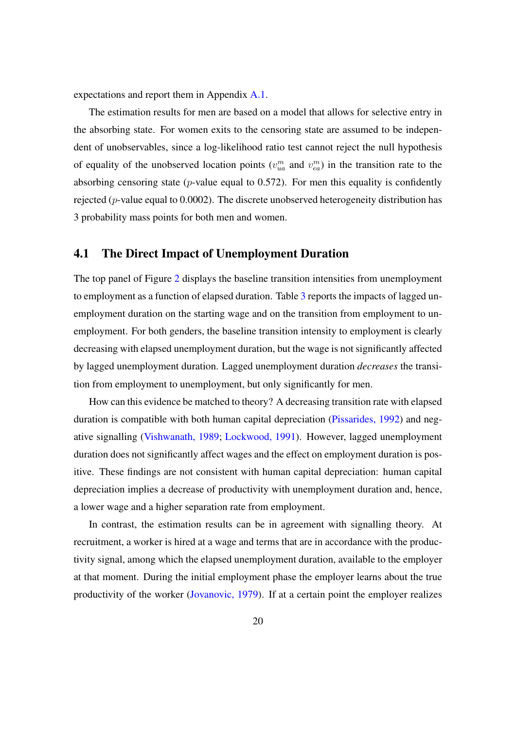expectations and report them in Appendix [A.1.](#page-34-0)

The estimation results for men are based on a model that allows for selective entry in the absorbing state. For women exits to the censoring state are assumed to be independent of unobservables, since a log-likelihood ratio test cannot reject the null hypothesis of equality of the unobserved location points  $(v_{ua}^m$  and  $v_{ea}^m)$  in the transition rate to the absorbing censoring state ( $p$ -value equal to 0.572). For men this equality is confidently rejected ( $p$ -value equal to 0.0002). The discrete unobserved heterogeneity distribution has 3 probability mass points for both men and women.

### <span id="page-20-0"></span>4.1 The Direct Impact of Unemployment Duration

The top panel of Figure [2](#page-22-0) displays the baseline transition intensities from unemployment to employment as a function of elapsed duration. Table [3](#page-21-0) reports the impacts of lagged unemployment duration on the starting wage and on the transition from employment to unemployment. For both genders, the baseline transition intensity to employment is clearly decreasing with elapsed unemployment duration, but the wage is not significantly affected by lagged unemployment duration. Lagged unemployment duration *decreases* the transition from employment to unemployment, but only significantly for men.

How can this evidence be matched to theory? A decreasing transition rate with elapsed duration is compatible with both human capital depreciation [\(Pissarides, 1992\)](#page-40-9) and negative signalling [\(Vishwanath, 1989;](#page-40-10) [Lockwood, 1991\)](#page-40-11). However, lagged unemployment duration does not significantly affect wages and the effect on employment duration is positive. These findings are not consistent with human capital depreciation: human capital depreciation implies a decrease of productivity with unemployment duration and, hence, a lower wage and a higher separation rate from employment.

In contrast, the estimation results can be in agreement with signalling theory. At recruitment, a worker is hired at a wage and terms that are in accordance with the productivity signal, among which the elapsed unemployment duration, available to the employer at that moment. During the initial employment phase the employer learns about the true productivity of the worker [\(Jovanovic, 1979\)](#page-40-12). If at a certain point the employer realizes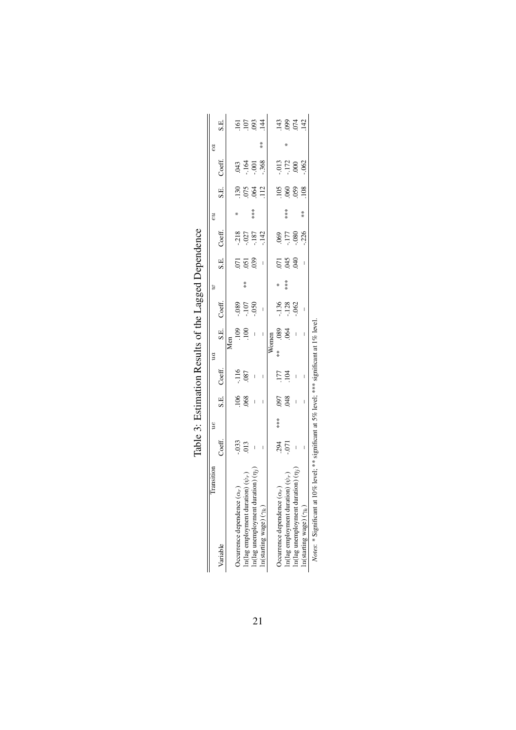<span id="page-21-0"></span>

|                                              |                          | y   |                                       |                          | $\mathfrak{m}$ |                          |                   | $\boldsymbol{\beta}$ |                 |                            | εu  |       |                            | ea            |                                            |
|----------------------------------------------|--------------------------|-----|---------------------------------------|--------------------------|----------------|--------------------------|-------------------|----------------------|-----------------|----------------------------|-----|-------|----------------------------|---------------|--------------------------------------------|
| Variable                                     | Coeff.                   |     | S.E.                                  | Coeff.                   |                | S.E.                     | Coeff.            |                      | S.E.            | Coeff.                     |     | S.E.  | Coeff.                     |               | S.E.                                       |
|                                              |                          |     |                                       |                          |                | Men                      |                   |                      |                 |                            |     |       |                            |               |                                            |
| Occurrence dependence $(\alpha_r)$           |                          |     |                                       |                          |                | $\frac{109}{100}$        |                   |                      |                 |                            | ⋇   |       |                            |               |                                            |
| In<br>(lag employment duration) $(\psi_r)$   | $-033$<br>$013$          |     | $rac{106}{068}$                       | $-116$<br>087            |                |                          | 080<br>107<br>050 | $*$                  | $\frac{55}{20}$ | $-218$<br>$-187$<br>$-142$ |     | 36841 | $343$<br>$459$<br>$38$     |               | $\frac{16}{5}$ $\frac{5}{3}$ $\frac{3}{4}$ |
| ration) $(n_i)$<br>in(lag unemployment dur   | $\,$ $\,$                |     | $\begin{array}{c} \hline \end{array}$ | $\overline{\phantom{a}}$ |                | $\overline{\phantom{a}}$ |                   |                      |                 |                            | *** |       |                            |               |                                            |
| $\ln(\mbox{starting wage})$ $(\gamma_k)$     | I                        |     | I                                     | I                        |                | I                        | I                 |                      | I               |                            |     |       |                            | $\frac{*}{*}$ |                                            |
|                                              |                          |     |                                       |                          |                | Women                    |                   |                      |                 |                            |     |       |                            |               |                                            |
| Occurrence dependence $(\alpha_r)$           |                          | *** |                                       |                          | $*$            |                          |                   | ₩                    |                 |                            |     |       |                            |               |                                            |
| In<br>(lag employment duration) $(\psi_{r})$ | .394<br>571              |     | 8RO:                                  | $177$<br>$-104$          |                | 8000                     | $\frac{136}{128}$ | ***                  | 533             | 985<br>1715<br>987         | *** |       | $-172$<br>$-172$<br>$-062$ |               | 143<br>0924<br>142                         |
| ration) $(ni)$<br>In(lag unemployment dur    | $\overline{\phantom{a}}$ |     | $\overline{\phantom{a}}$              | $\overline{\phantom{a}}$ |                | $\overline{\phantom{a}}$ |                   |                      |                 |                            |     |       |                            |               |                                            |
| $\ln(\mbox{starting wage})(\gamma_k)$        | I                        |     | I                                     | I                        |                | I                        | I                 |                      | I               |                            | $*$ |       |                            |               |                                            |

| ---------<br>ı<br>ĺ                              |
|--------------------------------------------------|
|                                                  |
| くくし<br>J<br>١                                    |
| ֠                                                |
| י<br>וי<br>į                                     |
|                                                  |
| ֖֖֖ׅׅׅ֚֚֚֚֚֚֚֚֚֚֚֚֚֚֚֬֡֡֡֡֡֡֬֝֬֡֬֝֬֝֓֬֝֓֬֝֓֬֝֬֓֬ |
| i                                                |
|                                                  |
|                                                  |
|                                                  |
|                                                  |
|                                                  |
|                                                  |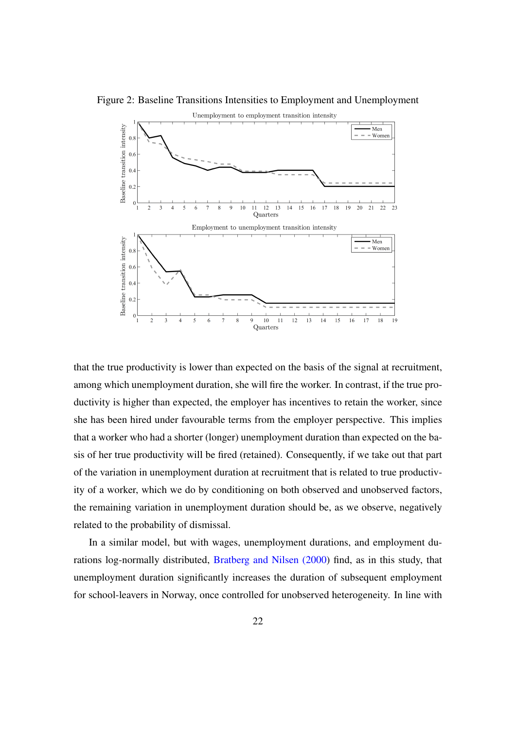Figure 2: Baseline Transitions Intensities to Employment and Unemployment

<span id="page-22-0"></span>

that the true productivity is lower than expected on the basis of the signal at recruitment, among which unemployment duration, she will fire the worker. In contrast, if the true productivity is higher than expected, the employer has incentives to retain the worker, since she has been hired under favourable terms from the employer perspective. This implies that a worker who had a shorter (longer) unemployment duration than expected on the basis of her true productivity will be fired (retained). Consequently, if we take out that part of the variation in unemployment duration at recruitment that is related to true productivity of a worker, which we do by conditioning on both observed and unobserved factors, the remaining variation in unemployment duration should be, as we observe, negatively related to the probability of dismissal.

In a similar model, but with wages, unemployment durations, and employment durations log-normally distributed, [Bratberg and Nilsen \(2000\)](#page-38-4) find, as in this study, that unemployment duration significantly increases the duration of subsequent employment for school-leavers in Norway, once controlled for unobserved heterogeneity. In line with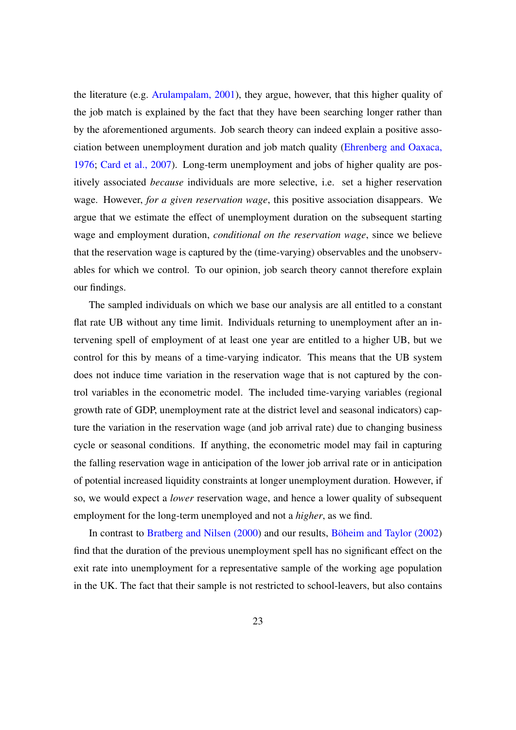the literature (e.g. [Arulampalam, 2001\)](#page-38-0), they argue, however, that this higher quality of the job match is explained by the fact that they have been searching longer rather than by the aforementioned arguments. Job search theory can indeed explain a positive association between unemployment duration and job match quality [\(Ehrenberg and Oaxaca,](#page-39-14) [1976;](#page-39-14) [Card et al., 2007\)](#page-38-12). Long-term unemployment and jobs of higher quality are positively associated *because* individuals are more selective, i.e. set a higher reservation wage. However, *for a given reservation wage*, this positive association disappears. We argue that we estimate the effect of unemployment duration on the subsequent starting wage and employment duration, *conditional on the reservation wage*, since we believe that the reservation wage is captured by the (time-varying) observables and the unobservables for which we control. To our opinion, job search theory cannot therefore explain our findings.

The sampled individuals on which we base our analysis are all entitled to a constant flat rate UB without any time limit. Individuals returning to unemployment after an intervening spell of employment of at least one year are entitled to a higher UB, but we control for this by means of a time-varying indicator. This means that the UB system does not induce time variation in the reservation wage that is not captured by the control variables in the econometric model. The included time-varying variables (regional growth rate of GDP, unemployment rate at the district level and seasonal indicators) capture the variation in the reservation wage (and job arrival rate) due to changing business cycle or seasonal conditions. If anything, the econometric model may fail in capturing the falling reservation wage in anticipation of the lower job arrival rate or in anticipation of potential increased liquidity constraints at longer unemployment duration. However, if so, we would expect a *lower* reservation wage, and hence a lower quality of subsequent employment for the long-term unemployed and not a *higher*, as we find.

In contrast to [Bratberg and Nilsen \(2000\)](#page-38-4) and our results, [Böheim and Taylor \(2002\)](#page-38-3) find that the duration of the previous unemployment spell has no significant effect on the exit rate into unemployment for a representative sample of the working age population in the UK. The fact that their sample is not restricted to school-leavers, but also contains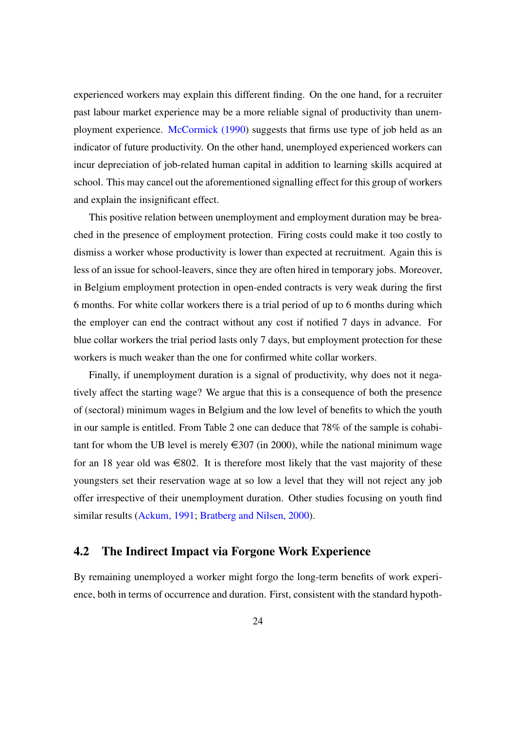experienced workers may explain this different finding. On the one hand, for a recruiter past labour market experience may be a more reliable signal of productivity than unemployment experience. [McCormick \(1990\)](#page-40-13) suggests that firms use type of job held as an indicator of future productivity. On the other hand, unemployed experienced workers can incur depreciation of job-related human capital in addition to learning skills acquired at school. This may cancel out the aforementioned signalling effect for this group of workers and explain the insignificant effect.

This positive relation between unemployment and employment duration may be breached in the presence of employment protection. Firing costs could make it too costly to dismiss a worker whose productivity is lower than expected at recruitment. Again this is less of an issue for school-leavers, since they are often hired in temporary jobs. Moreover, in Belgium employment protection in open-ended contracts is very weak during the first 6 months. For white collar workers there is a trial period of up to 6 months during which the employer can end the contract without any cost if notified 7 days in advance. For blue collar workers the trial period lasts only 7 days, but employment protection for these workers is much weaker than the one for confirmed white collar workers.

Finally, if unemployment duration is a signal of productivity, why does not it negatively affect the starting wage? We argue that this is a consequence of both the presence of (sectoral) minimum wages in Belgium and the low level of benefits to which the youth in our sample is entitled. From Table 2 one can deduce that 78% of the sample is cohabitant for whom the UB level is merely  $\in$  307 (in 2000), while the national minimum wage for an 18 year old was  $\in$ 802. It is therefore most likely that the vast majority of these youngsters set their reservation wage at so low a level that they will not reject any job offer irrespective of their unemployment duration. Other studies focusing on youth find similar results [\(Ackum, 1991;](#page-38-13) [Bratberg and Nilsen, 2000\)](#page-38-4).

### <span id="page-24-0"></span>4.2 The Indirect Impact via Forgone Work Experience

By remaining unemployed a worker might forgo the long-term benefits of work experience, both in terms of occurrence and duration. First, consistent with the standard hypoth-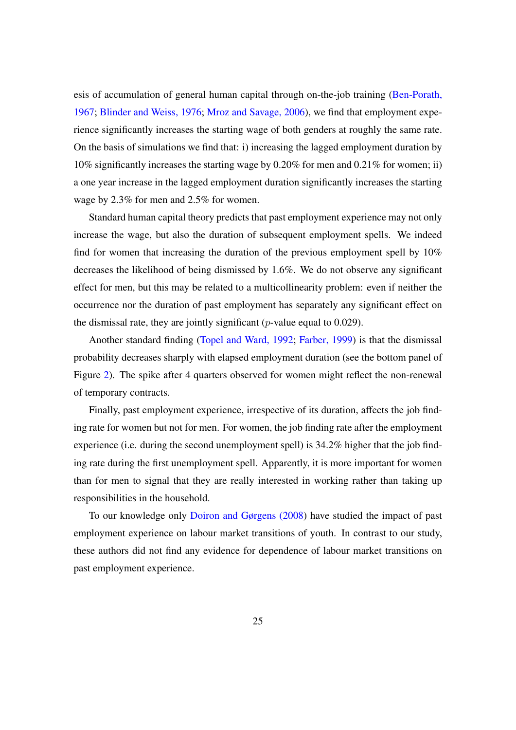esis of accumulation of general human capital through on-the-job training [\(Ben-Porath,](#page-38-14) [1967;](#page-38-14) [Blinder and Weiss, 1976;](#page-38-15) [Mroz and Savage, 2006\)](#page-40-0), we find that employment experience significantly increases the starting wage of both genders at roughly the same rate. On the basis of simulations we find that: i) increasing the lagged employment duration by 10% significantly increases the starting wage by 0.20% for men and 0.21% for women; ii) a one year increase in the lagged employment duration significantly increases the starting wage by 2.3% for men and 2.5% for women.

Standard human capital theory predicts that past employment experience may not only increase the wage, but also the duration of subsequent employment spells. We indeed find for women that increasing the duration of the previous employment spell by 10% decreases the likelihood of being dismissed by 1.6%. We do not observe any significant effect for men, but this may be related to a multicollinearity problem: even if neither the occurrence nor the duration of past employment has separately any significant effect on the dismissal rate, they are jointly significant ( $p$ -value equal to 0.029).

Another standard finding [\(Topel and Ward, 1992;](#page-40-14) [Farber, 1999\)](#page-39-15) is that the dismissal probability decreases sharply with elapsed employment duration (see the bottom panel of Figure [2\)](#page-22-0). The spike after 4 quarters observed for women might reflect the non-renewal of temporary contracts.

Finally, past employment experience, irrespective of its duration, affects the job finding rate for women but not for men. For women, the job finding rate after the employment experience (i.e. during the second unemployment spell) is 34.2% higher that the job finding rate during the first unemployment spell. Apparently, it is more important for women than for men to signal that they are really interested in working rather than taking up responsibilities in the household.

To our knowledge only [Doiron and Gørgens \(2008\)](#page-39-5) have studied the impact of past employment experience on labour market transitions of youth. In contrast to our study, these authors did not find any evidence for dependence of labour market transitions on past employment experience.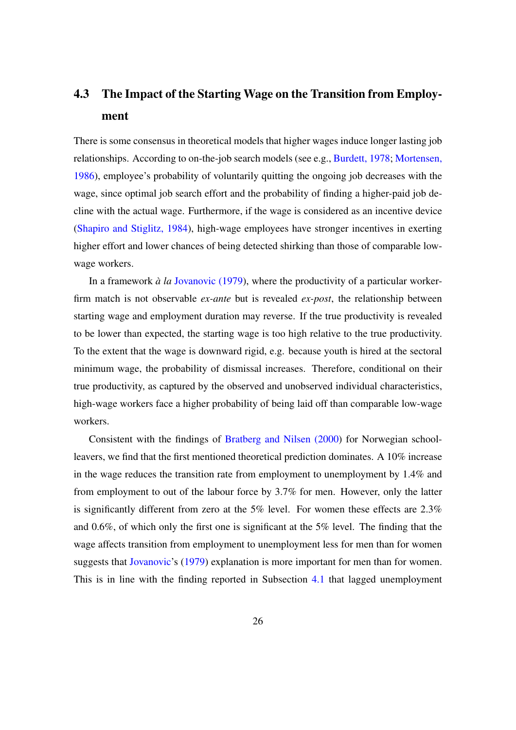## 4.3 The Impact of the Starting Wage on the Transition from Employment

There is some consensus in theoretical models that higher wages induce longer lasting job relationships. According to on-the-job search models (see e.g., [Burdett, 1978;](#page-38-16) [Mortensen,](#page-40-15) [1986\)](#page-40-15), employee's probability of voluntarily quitting the ongoing job decreases with the wage, since optimal job search effort and the probability of finding a higher-paid job decline with the actual wage. Furthermore, if the wage is considered as an incentive device [\(Shapiro and Stiglitz, 1984\)](#page-40-16), high-wage employees have stronger incentives in exerting higher effort and lower chances of being detected shirking than those of comparable lowwage workers.

In a framework *à la* [Jovanovic \(1979\)](#page-40-12), where the productivity of a particular workerfirm match is not observable *ex-ante* but is revealed *ex-post*, the relationship between starting wage and employment duration may reverse. If the true productivity is revealed to be lower than expected, the starting wage is too high relative to the true productivity. To the extent that the wage is downward rigid, e.g. because youth is hired at the sectoral minimum wage, the probability of dismissal increases. Therefore, conditional on their true productivity, as captured by the observed and unobserved individual characteristics, high-wage workers face a higher probability of being laid off than comparable low-wage workers.

Consistent with the findings of [Bratberg and Nilsen \(2000\)](#page-38-4) for Norwegian schoolleavers, we find that the first mentioned theoretical prediction dominates. A 10% increase in the wage reduces the transition rate from employment to unemployment by 1.4% and from employment to out of the labour force by 3.7% for men. However, only the latter is significantly different from zero at the 5% level. For women these effects are 2.3% and 0.6%, of which only the first one is significant at the 5% level. The finding that the wage affects transition from employment to unemployment less for men than for women suggests that [Jovanovic'](#page-40-12)s [\(1979\)](#page-40-12) explanation is more important for men than for women. This is in line with the finding reported in Subsection [4.1](#page-20-0) that lagged unemployment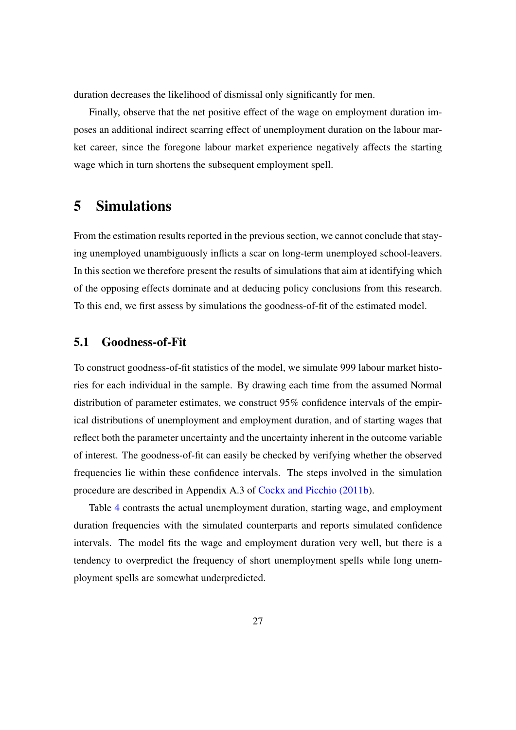duration decreases the likelihood of dismissal only significantly for men.

Finally, observe that the net positive effect of the wage on employment duration imposes an additional indirect scarring effect of unemployment duration on the labour market career, since the foregone labour market experience negatively affects the starting wage which in turn shortens the subsequent employment spell.

## <span id="page-27-0"></span>5 Simulations

From the estimation results reported in the previous section, we cannot conclude that staying unemployed unambiguously inflicts a scar on long-term unemployed school-leavers. In this section we therefore present the results of simulations that aim at identifying which of the opposing effects dominate and at deducing policy conclusions from this research. To this end, we first assess by simulations the goodness-of-fit of the estimated model.

### 5.1 Goodness-of-Fit

To construct goodness-of-fit statistics of the model, we simulate 999 labour market histories for each individual in the sample. By drawing each time from the assumed Normal distribution of parameter estimates, we construct 95% confidence intervals of the empirical distributions of unemployment and employment duration, and of starting wages that reflect both the parameter uncertainty and the uncertainty inherent in the outcome variable of interest. The goodness-of-fit can easily be checked by verifying whether the observed frequencies lie within these confidence intervals. The steps involved in the simulation procedure are described in Appendix A.3 of [Cockx and Picchio \(2011b\)](#page-39-16).

Table [4](#page-28-0) contrasts the actual unemployment duration, starting wage, and employment duration frequencies with the simulated counterparts and reports simulated confidence intervals. The model fits the wage and employment duration very well, but there is a tendency to overpredict the frequency of short unemployment spells while long unemployment spells are somewhat underpredicted.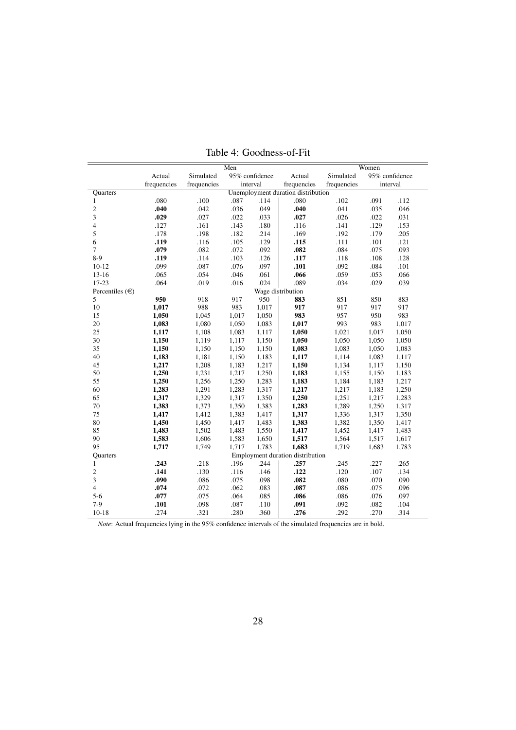| Simulated<br>Actual<br>Simulated<br>95% confidence<br>Actual<br>95% confidence   |       |
|----------------------------------------------------------------------------------|-------|
|                                                                                  |       |
| frequencies<br>frequencies<br>interval<br>frequencies<br>frequencies<br>interval |       |
| Unemployment duration distribution<br>Quarters                                   |       |
| .080<br>.100<br>.087<br>.114<br>.080<br>.102<br>.091<br>$\mathbf{1}$             | .112  |
| $\overline{c}$<br>.040<br>.042<br>.036<br>.049<br>.040<br>.041<br>.035           | .046  |
| 3<br>.029<br>.027<br>.027<br>.026<br>.022<br>.033<br>.022                        | .031  |
| $\overline{4}$<br>.127<br>.161<br>.143<br>.180<br>.116<br>.141<br>.129           | .153  |
| 5<br>.178<br>.198<br>.182<br>.169<br>.192<br>.179<br>.214                        | .205  |
| 6<br>.119<br>.116<br>.105<br>.129<br>.115<br>.111<br>.101                        | .121  |
| .079<br>$\overline{7}$<br>.082<br>.072<br>.092<br>.082<br>.084<br>.075           | .093  |
| $8-9$<br>.119<br>.114<br>.103<br>.126<br>.117<br>.108<br>.118                    | .128  |
| .099<br>.087<br>.076<br>.097<br>.101<br>.092<br>.084<br>$10 - 12$                | .101  |
| .054<br>.061<br>.066<br>.059<br>.053<br>$13 - 16$<br>.065<br>.046                | .066  |
| $17 - 23$<br>.064<br>.019<br>.016<br>.024<br>.089<br>.029<br>.034                | .039  |
| Percentiles $(\in)$<br>Wage distribution                                         |       |
| 5<br>950<br>950<br>918<br>917<br>883<br>851<br>850                               | 883   |
| 988<br>10<br>1,017<br>983<br>1,017<br>917<br>917<br>917                          | 917   |
| 1,050<br>983<br>957<br>950<br>15<br>1,045<br>1,017<br>1,050                      | 983   |
| 20<br>1,083<br>993<br>983<br>1,080<br>1,050<br>1,083<br>1,017                    | 1,017 |
| 25<br>1,050<br>1,117<br>1,108<br>1,083<br>1,117<br>1,021<br>1,017                | 1,050 |
| 30<br>1,150<br>1,050<br>1,119<br>1,117<br>1,150<br>1,050<br>1,050                | 1,050 |
| 35<br>1,150<br>1,150<br>1,083<br>1,083<br>1,150<br>1,150<br>1,050                | 1,083 |
| 40<br>1,183<br>1,114<br>1,181<br>1,150<br>1,183<br>1,117<br>1,083                | 1,117 |
| 45<br>1,217<br>1,150<br>1,134<br>1,208<br>1,183<br>1,217<br>1,117                | 1,150 |
| 50<br>1,250<br>1,231<br>1,217<br>1,250<br>1,183<br>1,155<br>1,150                | 1,183 |
| 1,250<br>55<br>1,256<br>1,250<br>1,283<br>1,183<br>1,184<br>1,183                | 1,217 |
| 1,283<br>60<br>1,291<br>1,283<br>1,317<br>1,217<br>1,217<br>1,183                | 1,250 |
| 65<br>1,317<br>1,329<br>1,317<br>1,250<br>1,251<br>1,350<br>1,217                | 1,283 |
| 1,289<br>70<br>1,383<br>1,373<br>1,383<br>1,283<br>1,350<br>1,250                | 1,317 |
| 75<br>1,417<br>1,317<br>1,336<br>1,412<br>1,383<br>1,417<br>1,317                | 1,350 |
| 80<br>1,382<br>1,450<br>1,450<br>1,417<br>1,483<br>1,383<br>1,350                | 1,417 |
| 85<br>1,483<br>1,452<br>1,502<br>1,483<br>1,550<br>1,417<br>1,417                | 1,483 |
| 90<br>1,583<br>1,606<br>1,583<br>1,650<br>1,517<br>1,564<br>1,517                | 1,617 |
| 95<br>1,717<br>1,717<br>1,783<br>1,683<br>1,719<br>1,749<br>1,683                | 1,783 |
| Employment duration distribution<br>Quarters                                     |       |
| .257<br>.243<br>.218<br>.196<br>.244<br>.245<br>.227<br>$\mathbf{1}$             | .265  |
| $\overline{c}$<br>.141<br>.122<br>.120<br>.107<br>.130<br>.116<br>.146           | .134  |
| 3<br>.090<br>.086<br>.082<br>.075<br>.098<br>.080<br>.070                        | .090  |
| $\overline{4}$<br>.074<br>.072<br>.062<br>.083<br>.087<br>.086<br>.075           | .096  |
| $5 - 6$<br>.077<br>.075<br>.064<br>.085<br>.086<br>.086<br>.076                  | .097  |
| $7-9$<br>.101<br>.098<br>.087<br>.091<br>.092<br>.082<br>.110                    | .104  |
| $10 - 18$<br>.274<br>.321<br>.280<br>.360<br>.276<br>.292<br>.270                | .314  |

<span id="page-28-0"></span>Table 4: Goodness-of-Fit

*Note*: Actual frequencies lying in the 95% confidence intervals of the simulated frequencies are in bold.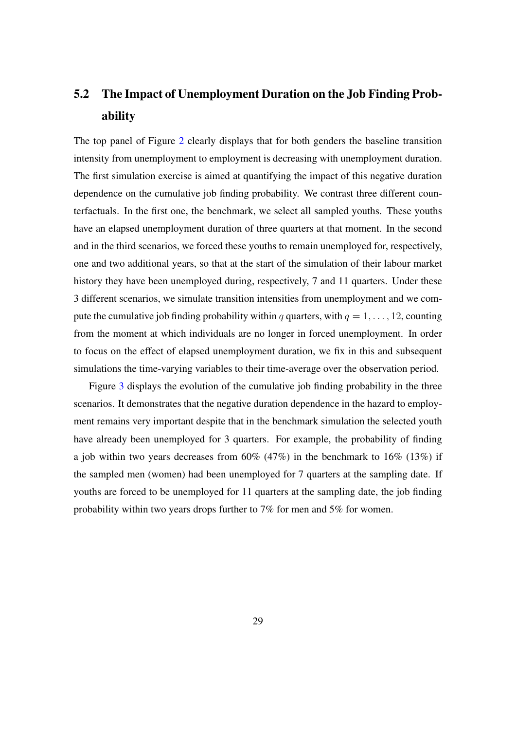## 5.2 The Impact of Unemployment Duration on the Job Finding Probability

The top panel of Figure [2](#page-22-0) clearly displays that for both genders the baseline transition intensity from unemployment to employment is decreasing with unemployment duration. The first simulation exercise is aimed at quantifying the impact of this negative duration dependence on the cumulative job finding probability. We contrast three different counterfactuals. In the first one, the benchmark, we select all sampled youths. These youths have an elapsed unemployment duration of three quarters at that moment. In the second and in the third scenarios, we forced these youths to remain unemployed for, respectively, one and two additional years, so that at the start of the simulation of their labour market history they have been unemployed during, respectively, 7 and 11 quarters. Under these 3 different scenarios, we simulate transition intensities from unemployment and we compute the cumulative job finding probability within q quarters, with  $q = 1, \ldots, 12$ , counting from the moment at which individuals are no longer in forced unemployment. In order to focus on the effect of elapsed unemployment duration, we fix in this and subsequent simulations the time-varying variables to their time-average over the observation period.

Figure [3](#page-30-0) displays the evolution of the cumulative job finding probability in the three scenarios. It demonstrates that the negative duration dependence in the hazard to employment remains very important despite that in the benchmark simulation the selected youth have already been unemployed for 3 quarters. For example, the probability of finding a job within two years decreases from  $60\%$  (47%) in the benchmark to 16% (13%) if the sampled men (women) had been unemployed for 7 quarters at the sampling date. If youths are forced to be unemployed for 11 quarters at the sampling date, the job finding probability within two years drops further to 7% for men and 5% for women.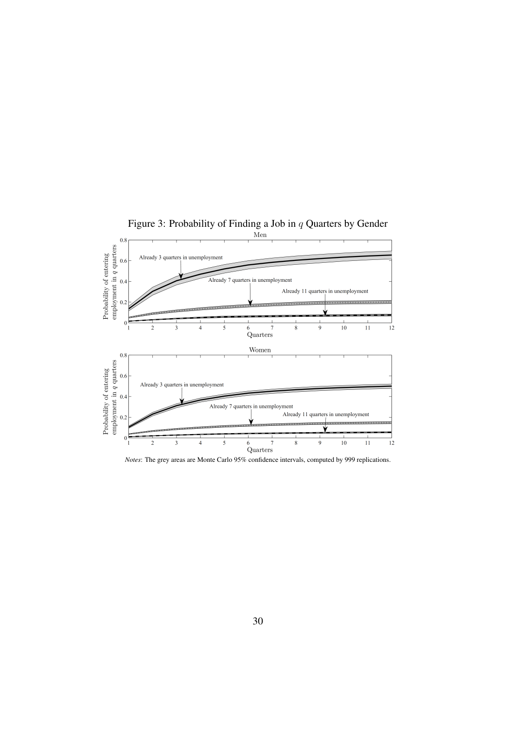

<span id="page-30-0"></span>

*Notes*: The grey areas are Monte Carlo 95% confidence intervals, computed by 999 replications.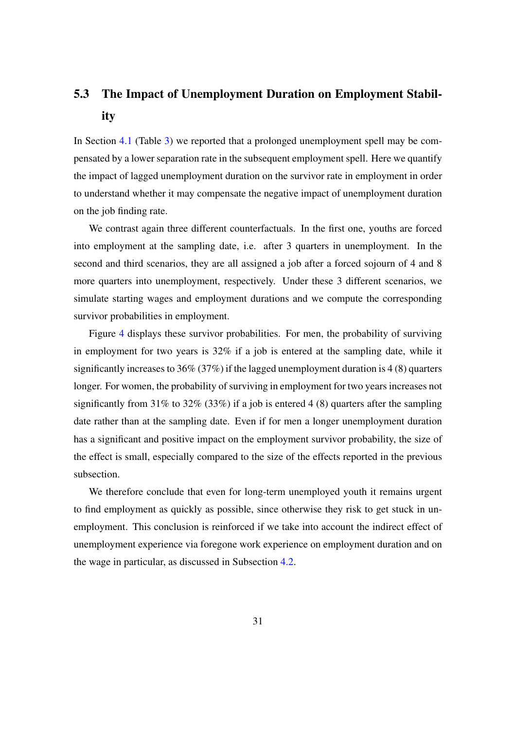# 5.3 The Impact of Unemployment Duration on Employment Stability

In Section [4.1](#page-20-0) (Table [3\)](#page-21-0) we reported that a prolonged unemployment spell may be compensated by a lower separation rate in the subsequent employment spell. Here we quantify the impact of lagged unemployment duration on the survivor rate in employment in order to understand whether it may compensate the negative impact of unemployment duration on the job finding rate.

We contrast again three different counterfactuals. In the first one, youths are forced into employment at the sampling date, i.e. after 3 quarters in unemployment. In the second and third scenarios, they are all assigned a job after a forced sojourn of 4 and 8 more quarters into unemployment, respectively. Under these 3 different scenarios, we simulate starting wages and employment durations and we compute the corresponding survivor probabilities in employment.

Figure [4](#page-32-1) displays these survivor probabilities. For men, the probability of surviving in employment for two years is 32% if a job is entered at the sampling date, while it significantly increases to 36% (37%) if the lagged unemployment duration is 4 (8) quarters longer. For women, the probability of surviving in employment for two years increases not significantly from 31% to 32% (33%) if a job is entered 4 (8) quarters after the sampling date rather than at the sampling date. Even if for men a longer unemployment duration has a significant and positive impact on the employment survivor probability, the size of the effect is small, especially compared to the size of the effects reported in the previous subsection.

We therefore conclude that even for long-term unemployed youth it remains urgent to find employment as quickly as possible, since otherwise they risk to get stuck in unemployment. This conclusion is reinforced if we take into account the indirect effect of unemployment experience via foregone work experience on employment duration and on the wage in particular, as discussed in Subsection [4.2.](#page-24-0)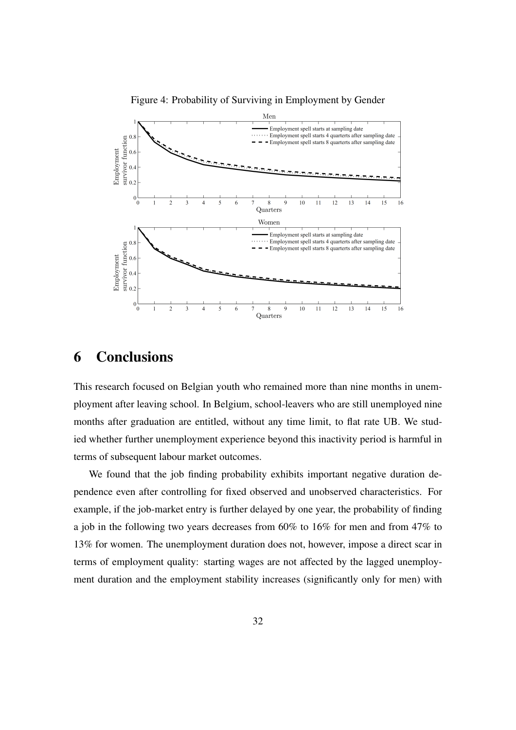<span id="page-32-1"></span>Figure 4: Probability of Surviving in Employment by Gender



## <span id="page-32-0"></span>6 Conclusions

This research focused on Belgian youth who remained more than nine months in unemployment after leaving school. In Belgium, school-leavers who are still unemployed nine months after graduation are entitled, without any time limit, to flat rate UB. We studied whether further unemployment experience beyond this inactivity period is harmful in terms of subsequent labour market outcomes.

We found that the job finding probability exhibits important negative duration dependence even after controlling for fixed observed and unobserved characteristics. For example, if the job-market entry is further delayed by one year, the probability of finding a job in the following two years decreases from 60% to 16% for men and from 47% to 13% for women. The unemployment duration does not, however, impose a direct scar in terms of employment quality: starting wages are not affected by the lagged unemployment duration and the employment stability increases (significantly only for men) with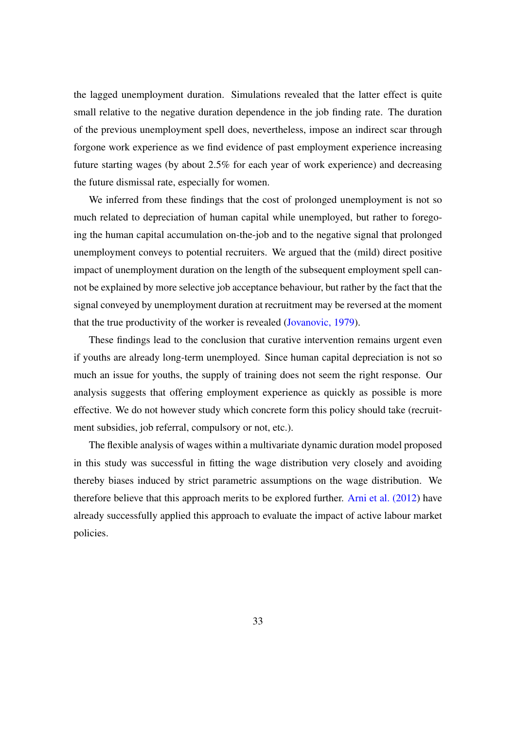the lagged unemployment duration. Simulations revealed that the latter effect is quite small relative to the negative duration dependence in the job finding rate. The duration of the previous unemployment spell does, nevertheless, impose an indirect scar through forgone work experience as we find evidence of past employment experience increasing future starting wages (by about 2.5% for each year of work experience) and decreasing the future dismissal rate, especially for women.

We inferred from these findings that the cost of prolonged unemployment is not so much related to depreciation of human capital while unemployed, but rather to foregoing the human capital accumulation on-the-job and to the negative signal that prolonged unemployment conveys to potential recruiters. We argued that the (mild) direct positive impact of unemployment duration on the length of the subsequent employment spell cannot be explained by more selective job acceptance behaviour, but rather by the fact that the signal conveyed by unemployment duration at recruitment may be reversed at the moment that the true productivity of the worker is revealed [\(Jovanovic, 1979\)](#page-40-12).

These findings lead to the conclusion that curative intervention remains urgent even if youths are already long-term unemployed. Since human capital depreciation is not so much an issue for youths, the supply of training does not seem the right response. Our analysis suggests that offering employment experience as quickly as possible is more effective. We do not however study which concrete form this policy should take (recruitment subsidies, job referral, compulsory or not, etc.).

The flexible analysis of wages within a multivariate dynamic duration model proposed in this study was successful in fitting the wage distribution very closely and avoiding thereby biases induced by strict parametric assumptions on the wage distribution. We therefore believe that this approach merits to be explored further. [Arni et al. \(2012\)](#page-38-5) have already successfully applied this approach to evaluate the impact of active labour market policies.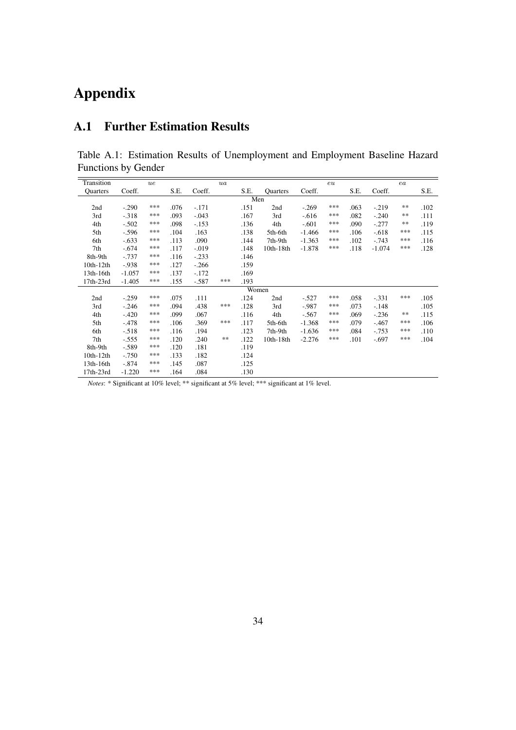# Appendix

### <span id="page-34-0"></span>A.1 Further Estimation Results

Table A.1: Estimation Results of Unemployment and Employment Baseline Hazard Functions by Gender

| Transition      |          | ue  |      |         | ua  |       |           |          | eu  |      |          | ea         |      |
|-----------------|----------|-----|------|---------|-----|-------|-----------|----------|-----|------|----------|------------|------|
| <b>Ouarters</b> | Coeff.   |     | S.E. | Coeff.  |     | S.E.  | Quarters  | Coeff.   |     | S.E. | Coeff.   |            | S.E. |
|                 |          |     |      |         |     | Men   |           |          |     |      |          |            |      |
| 2nd             | $-.290$  | *** | .076 | $-.171$ |     | .151  | 2nd       | $-.269$  | *** | .063 | $-.219$  | $**$       | .102 |
| 3rd             | $-.318$  | *** | .093 | $-.043$ |     | .167  | 3rd       | $-0.616$ | *** | .082 | $-.240$  | $**$       | .111 |
| 4th             | $-.502$  | *** | .098 | $-.153$ |     | .136  | 4th       | $-.601$  | *** | .090 | $-.277$  | $\ast\ast$ | .119 |
| 5th             | $-.596$  | *** | .104 | .163    |     | .138  | 5th-6th   | $-1.466$ | *** | .106 | $-.618$  | ***        | .115 |
| 6th             | $-.633$  | *** | .113 | .090    |     | .144  | 7th-9th   | $-1.363$ | *** | .102 | $-.743$  | ***        | .116 |
| 7th             | $-.674$  | *** | .117 | $-.019$ |     | .148  | 10th-18th | $-1.878$ | *** | .118 | $-1.074$ | ***        | .128 |
| 8th-9th         | $-.737$  | *** | .116 | $-.233$ |     | .146  |           |          |     |      |          |            |      |
| $10th-12th$     | $-938$   | *** | .127 | $-.266$ |     | .159  |           |          |     |      |          |            |      |
| 13th-16th       | $-1.057$ | *** | .137 | $-.172$ |     | .169  |           |          |     |      |          |            |      |
| 17th-23rd       | $-1.405$ | *** | .155 | $-.587$ | *** | .193  |           |          |     |      |          |            |      |
|                 |          |     |      |         |     | Women |           |          |     |      |          |            |      |
| 2nd             | $-.259$  | *** | .075 | .111    |     | .124  | 2nd       | $-.527$  | *** | .058 | $-.331$  | ***        | .105 |
| 3rd             | $-.246$  | *** | .094 | .438    | *** | .128  | 3rd       | $-.987$  | *** | .073 | $-.148$  |            | .105 |
| 4th             | $-.420$  | *** | .099 | .067    |     | .116  | 4th       | $-.567$  | *** | .069 | $-.236$  | $**$       | .115 |
| 5th             | $-.478$  | *** | .106 | .369    | *** | .117  | 5th-6th   | $-1.368$ | *** | .079 | $-.467$  | ***        | .106 |
| 6th             | $-.518$  | *** | .116 | .194    |     | .123  | 7th-9th   | $-1.636$ | *** | .084 | $-.753$  | ***        | .110 |
| 7th             | $-.555$  | *** | .120 | .240    | **  | .122  | 10th-18th | $-2.276$ | *** | .101 | $-.697$  | ***        | .104 |
| 8th-9th         | $-.589$  | *** | .120 | .181    |     | .119  |           |          |     |      |          |            |      |
| $10th-12th$     | $-.750$  | *** | .133 | .182    |     | .124  |           |          |     |      |          |            |      |
| 13th-16th       | $-.874$  | *** | .145 | .087    |     | .125  |           |          |     |      |          |            |      |
| 17th-23rd       | $-1.220$ | *** | .164 | .084    |     | .130  |           |          |     |      |          |            |      |

*Notes*: \* Significant at 10% level; \*\* significant at 5% level; \*\*\* significant at 1% level.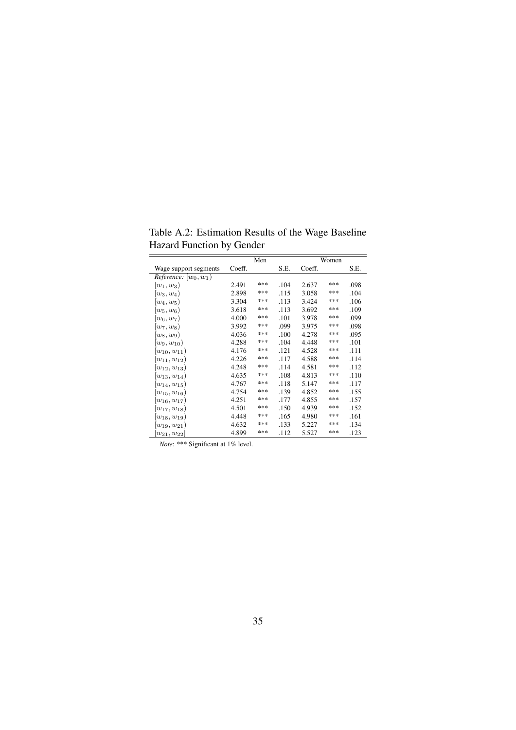|                                | ↵      |     |      |        |       |      |
|--------------------------------|--------|-----|------|--------|-------|------|
|                                |        | Men |      |        | Women |      |
| Wage support segments          | Coeff. |     | S.E. | Coeff. |       | S.E. |
| <i>Reference:</i> $[w_0, w_1)$ |        |     |      |        |       |      |
| $ w_1, w_3 $                   | 2.491  | *** | .104 | 2.637  | ***   | .098 |
| $ w_3,w_4 $                    | 2.898  | *** | .115 | 3.058  | ***   | .104 |
| $ w_4,w_5)$                    | 3.304  | *** | .113 | 3.424  | ***   | .106 |
| $\ket{w_5,w_6}$                | 3.618  | *** | .113 | 3.692  | ***   | .109 |
| $(w_6, w_7)$                   | 4.000  | *** | .101 | 3.978  | ***   | .099 |
| $ w_7,w_8)$                    | 3.992  | *** | .099 | 3.975  | ***   | .098 |
| $\ket{w_8,w_9}$                | 4.036  | *** | .100 | 4.278  | ***   | .095 |
| $(w_9, w_{10})$                | 4.288  | *** | .104 | 4.448  | ***   | .101 |
| $\vert w_{10}, w_{11} \rangle$ | 4.176  | *** | .121 | 4.528  | ***   | .111 |
| $\ket{w_{11},w_{12}}$          | 4.226  | *** | .117 | 4.588  | ***   | .114 |
| $(w_{12}, w_{13})$             | 4.248  | *** | .114 | 4.581  | ***   | .112 |
| $(w_{13}, w_{14})$             | 4.635  | *** | .108 | 4.813  | ***   | .110 |
| $\ket{w_{14},w_{15}}$          | 4.767  | *** | .118 | 5.147  | ***   | .117 |
| $(w_{15}, w_{16})$             | 4.754  | *** | .139 | 4.852  | ***   | .155 |
| $\ket{w_{16},w_{17}}$          | 4.251  | *** | .177 | 4.855  | ***   | .157 |
| $ w_{17}, w_{18})$             | 4.501  | *** | .150 | 4.939  | ***   | .152 |
| $(w_{18}, w_{19})$             | 4.448  | *** | .165 | 4.980  | ***   | .161 |
| $(w_{19}, w_{21})$             | 4.632  | *** | .133 | 5.227  | ***   | .134 |
| $ w_{21}, w_{22} $             | 4.899  | *** | .112 | 5.527  | ***   | .123 |

Table A.2: Estimation Results of the Wage Baseline Hazard Function by Gender

*Note*: \*\*\* Significant at 1% level.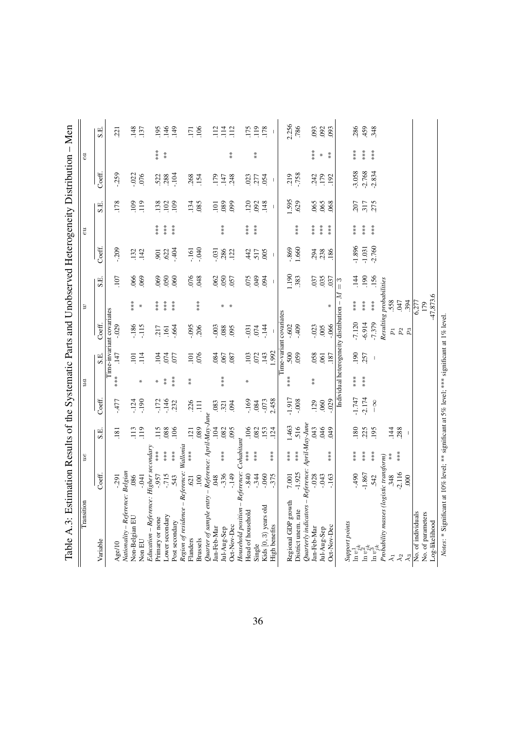| Nationality – Reference: Belgian<br>Variable<br>Age/10                               |                           | $u\boldsymbol{e}$                          |            |                | $\iota a$ |                          |                                       | $\boldsymbol{v}$        |               |                          | eu       |                                |                                       | ea     |                  |
|--------------------------------------------------------------------------------------|---------------------------|--------------------------------------------|------------|----------------|-----------|--------------------------|---------------------------------------|-------------------------|---------------|--------------------------|----------|--------------------------------|---------------------------------------|--------|------------------|
|                                                                                      | Coeff.                    |                                            | S.E        | Coeff          |           | S.E.                     | Coeff.                                |                         | S.E.          | Coeff.                   |          | S.E.                           | Coeff.                                |        | S.E.             |
|                                                                                      |                           |                                            |            |                |           |                          | Time-invariant covariates             |                         |               |                          |          |                                |                                       |        |                  |
|                                                                                      | $-291$                    |                                            | .181       | $-477$         | ***       | .147                     | $-0.029$                              |                         | .107          | $-209$                   |          | 178                            | $-0.259$                              |        | 221              |
|                                                                                      |                           |                                            |            |                |           |                          |                                       |                         |               |                          |          |                                |                                       |        |                  |
| Non-Belgian EU                                                                       | .086                      |                                            | 113        | $-124$         |           | 101                      | $-186$                                | $***$                   | .066          | .132                     |          | 109                            | $-0.022$                              |        | .148             |
| Non EU                                                                               | $-0.41$                   |                                            | 119        | .190           | ⋇         | 114                      | $-115$                                | $\ast$                  | .069          | .142                     |          | $\frac{119}{2}$                | .076                                  |        | .137             |
| Education – Referenc                                                                 | e: Higher secondary       |                                            |            |                |           |                          |                                       |                         |               |                          |          |                                |                                       |        |                  |
| Primary or none                                                                      | $-957$<br>575-            | ***                                        | 115        | $-172$         | $\ast$    | $\overline{5}$           | .217                                  | $***$                   | .069          | 901                      | $**\ast$ | .138                           | 522<br>388                            | $***$  | 195              |
| Lower secondary                                                                      |                           | ***                                        | .088       | $-146$         | $* *$     | .074                     | .161                                  | $***$                   | .050          | .622                     | $***$    | 102                            |                                       | $* *$  | 146              |
| Post secondary                                                                       | 543                       |                                            | .106       | .232           | $***$     | 57                       | .664                                  | $***$                   | .060          | .404                     | $***$    | 109                            | .104                                  |        | 149              |
| Region of residence -                                                                | Reference:                | Wallonia                                   |            |                |           |                          |                                       |                         |               |                          |          |                                |                                       |        |                  |
| Flanders                                                                             | .621                      | ***                                        | 121        | 226            | $*$       | 101                      | $-0.095$                              |                         |               | $-161$                   |          | .134                           |                                       |        | 171              |
| Brussels                                                                             | 100                       |                                            | .089       | $\Xi$          |           | 076                      | 206                                   | ***                     | 8RO:          | 040                      |          | .085                           | 268<br>154                            |        | .106             |
| $\mathsf I$<br>Quarter of sample entry                                               | Reference: April-May-June |                                            |            |                |           |                          |                                       |                         |               |                          |          |                                |                                       |        |                  |
| Jan-Feb-Mar                                                                          | .048                      |                                            | 104        | .083           |           | .084                     | $-0.003$                              |                         | 062           | $-0.31$                  |          | 101                            | 179                                   |        | 112              |
| Jul-Aug-Sep                                                                          | $-336$                    |                                            | .082       | .321           | ***       | 067                      | .088                                  | ⋇                       | .050          | .286                     | ***      | .089                           | .147                                  |        | $\frac{114}{11}$ |
| Oct-Nov-Dec                                                                          | $-149$                    |                                            | .095       | .094           |           | .087                     | .095                                  | $\ast$                  | .057          | .122                     |          | <b>660</b>                     | 248                                   | $*$    | .112             |
| Household position                                                                   | Reference:                | Cohabitant                                 |            |                |           |                          |                                       |                         |               |                          |          |                                |                                       |        |                  |
| Head of household                                                                    | $-840$                    |                                            | 106        | $-169$         | ⋇         | .103                     | $-0.31$                               |                         | 075           | 442                      | ***      | 120                            | 023                                   |        | 175              |
| Single                                                                               | $-344$                    | $\begin{array}{l} * \\ * \\ * \end{array}$ | .082       | .084           |           | 072                      | .074                                  |                         | 65            | 517                      |          | .092                           | .277                                  | $*$    | 119              |
|                                                                                      |                           |                                            | .153       |                |           | 143                      |                                       |                         |               |                          |          |                                |                                       |        |                  |
| Kids [0, 3) years old                                                                | $-060$                    |                                            |            | $-0.073$       |           |                          | $-144$                                |                         | .094          | 005                      |          | .148                           | .054                                  |        | .178             |
| High benefits                                                                        | $-375$                    | ***                                        | .124       | 2.458          |           | 1.992                    |                                       |                         | $\mathsf I$   | $\overline{\phantom{a}}$ |          | $\begin{array}{c} \end{array}$ | $\begin{array}{c} \hline \end{array}$ |        | $\mathbf{I}$     |
|                                                                                      |                           |                                            |            |                |           |                          | Time-variant covariates               |                         |               |                          |          |                                |                                       |        |                  |
| Regional GDP growth                                                                  | 7.001                     | ***                                        | 1.463      | $-1.917$       | ***       | 500                      | $-0.602$                              |                         | 190           | $-0.869$                 |          | 1.595                          | .219                                  |        | 2.256            |
| District unem. rate                                                                  | $-1.925$                  | ***                                        | 516        | $-0.008$       |           | 059                      | $-409$                                |                         | .383          | 1.660                    | $***$    | .629                           | $-758$                                |        | .786             |
| Quarterly indicators                                                                 | Reference: April-May-June |                                            |            |                |           |                          |                                       |                         |               |                          |          |                                |                                       |        |                  |
| Jan-Feb-Mar                                                                          | $-0.028$                  |                                            | <b>CRO</b> | .129           | $*$       | .058                     | $-023$                                |                         | .037          | .294                     |          | .065                           | .242                                  | ***    | 093              |
| Jul-Aug-Sep                                                                          | $-0.43$                   |                                            | 910.       | .060           |           | .061                     | 005                                   |                         | .035          | .238                     | ***      | .065                           | 179                                   | $\ast$ | .092             |
| Oct-Nov-Dec                                                                          | $-163$                    | $***$                                      | 649        | $-0.029$       |           | .187                     | $-066$                                | ∗                       | .037          | .186                     | ***      | .068                           | .192                                  | $*$    | .093             |
|                                                                                      |                           |                                            |            |                |           |                          | Individual heterogeneity distribution | Z<br>$\mathsf I$        | $\frac{3}{2}$ |                          |          |                                |                                       |        |                  |
| Support points                                                                       |                           |                                            |            |                |           |                          |                                       |                         |               |                          |          |                                |                                       |        |                  |
|                                                                                      | $064 -$                   | $***$                                      | .180       | $-1.747$       | $***$     | 190                      | $-7.120$                              | ***                     | .144          | $-1.896$                 | $***$    | 207                            | $-3.058$                              | $***$  | 286              |
| $\begin{array}{l} \ln v_{j,k}^{1}\\ \ln v_{j,k}^{2}\\ \ln v_{j,k}^{3}\\ \end{array}$ | $-1.867$                  | $**\ast$                                   | .225       | $-2.174$       | ***       | .257                     | $-6.914$                              | $***$                   | .190          | $-1.031$                 | $***$    | .317                           |                                       | $***$  | 459              |
|                                                                                      | .542                      | $**\ast$                                   | .195       | 8 <sup>1</sup> |           | $\overline{\phantom{a}}$ | 7.379                                 | $**\underset{3}{*}$     | .156          | $-2.760$                 | $***$    | .275                           | $-2.768$<br>$-2.834$                  |        | 348              |
| Probability masses (logistic transform)                                              |                           |                                            |            |                |           |                          |                                       | Resulting probabilities |               |                          |          |                                |                                       |        |                  |
|                                                                                      |                           | $*$                                        |            |                |           |                          |                                       |                         |               |                          |          |                                |                                       |        |                  |
| $\vec{z}$                                                                            | .348                      | $***$                                      | 144        |                |           |                          | $\,p_1$                               | 558                     |               |                          |          |                                |                                       |        |                  |
| $\lambda_2$                                                                          | 2.116                     |                                            | .288       |                |           |                          | $p_{\rm 2}$                           | <b>CFO</b> .            |               |                          |          |                                |                                       |        |                  |
| $\lambda_3$                                                                          | 000                       |                                            |            |                |           |                          | $p_3$                                 | 394                     |               |                          |          |                                |                                       |        |                  |
| No. of individuals                                                                   |                           |                                            |            |                |           |                          |                                       | 6,277                   |               |                          |          |                                |                                       |        |                  |
| No. of parameters                                                                    |                           |                                            |            |                |           |                          |                                       | 179                     |               |                          |          |                                |                                       |        |                  |
| Log-likelihood                                                                       |                           |                                            |            |                |           |                          |                                       | $-47,873.6$             |               |                          |          |                                |                                       |        |                  |

36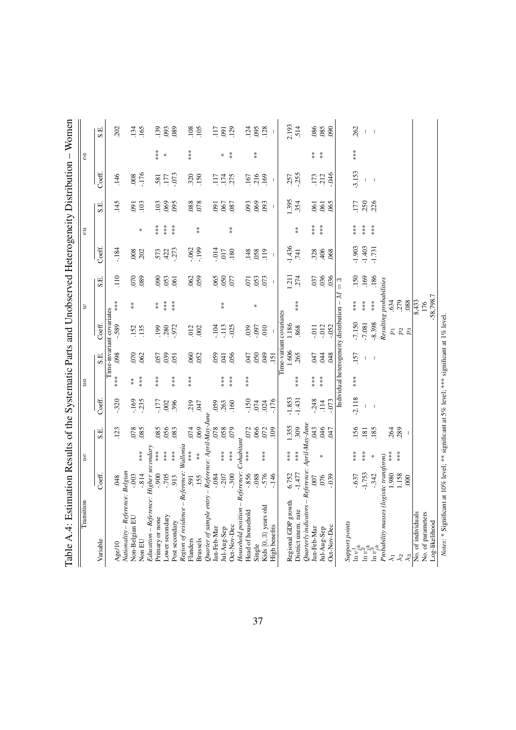| Reference:<br>Nationality – Reference: Belgian<br>Coeff.<br>$-705$<br>$-0.003$<br>$-814$<br>$006 -$<br>048<br>913<br>591<br>Education - Referenc<br>Region of residence -<br>Lower secondary<br>Primary or none<br>Non-Belgian EU<br>Post secondary<br>Flanders<br>Variable<br>Non EU<br>Age/10 | Wallonia<br>e: Higher secondary<br>$**\underset{3}{*}$<br>***<br>$***$<br>***<br>$***$ | .123<br>S.E.             |                          |          |                          |                                           |                         |                          |                          |       |                                |                          |                  |                          |
|-------------------------------------------------------------------------------------------------------------------------------------------------------------------------------------------------------------------------------------------------------------------------------------------------|----------------------------------------------------------------------------------------|--------------------------|--------------------------|----------|--------------------------|-------------------------------------------|-------------------------|--------------------------|--------------------------|-------|--------------------------------|--------------------------|------------------|--------------------------|
|                                                                                                                                                                                                                                                                                                 |                                                                                        |                          | Coeff.                   |          | S.E.                     | Coeff.                                    |                         | S.E.                     | Coeff.                   |       | S.E.                           | Coeff.                   |                  | S.E.                     |
|                                                                                                                                                                                                                                                                                                 |                                                                                        |                          |                          |          |                          | Time-invariant covariates                 |                         |                          |                          |       |                                |                          |                  |                          |
|                                                                                                                                                                                                                                                                                                 |                                                                                        |                          | $-320$                   | ***      | .098                     | $-589$                                    | ***                     | 110                      | $-184$                   |       | .145                           | 146                      |                  | .202                     |
|                                                                                                                                                                                                                                                                                                 |                                                                                        | .078                     | $-169$                   | $*$      | .070                     | .152                                      | $* *$                   | 000                      | .008                     |       | $-091$                         | .008                     |                  | .134                     |
|                                                                                                                                                                                                                                                                                                 |                                                                                        | .085                     | $-235$                   | $***$    | .062                     | .135                                      |                         | .089                     | .202                     | ⋇     | 103                            | $-176$                   |                  | 165                      |
|                                                                                                                                                                                                                                                                                                 |                                                                                        |                          |                          |          |                          |                                           |                         |                          |                          |       |                                |                          |                  |                          |
|                                                                                                                                                                                                                                                                                                 |                                                                                        | .085                     | -177                     | $**\ast$ | 057                      |                                           | $* *$                   | 090                      | 573                      | ***   | 103                            | 581                      | ***              | .139                     |
|                                                                                                                                                                                                                                                                                                 |                                                                                        | .056                     | .002                     |          | .039                     | $.199$<br>$.280$                          | ***                     | .053                     | 422                      | ***   | .069                           | 177                      | $\ast$           | .093                     |
|                                                                                                                                                                                                                                                                                                 |                                                                                        | .083                     | 396                      | ***      | 051                      | .972                                      | ***                     | $\overline{61}$          | $-273$                   | $***$ | 095                            | .073                     |                  | .089                     |
|                                                                                                                                                                                                                                                                                                 |                                                                                        |                          |                          |          |                          |                                           |                         |                          |                          |       |                                |                          |                  |                          |
|                                                                                                                                                                                                                                                                                                 |                                                                                        | 074                      | .219                     | ***      | .060                     | .012                                      |                         |                          | $-062$                   |       |                                |                          | ***              | .108                     |
| .155<br>Brussels                                                                                                                                                                                                                                                                                | $*$                                                                                    | .069                     | 047                      |          | .052                     | .002                                      |                         | $.062$<br>$.059$         | $-199$                   | $* *$ | 820.                           | $320$<br>$150$           |                  | .105                     |
| μ<br>Quarter of sample $\emph{en}$                                                                                                                                                                                                                                                              | - Reference: April-May-June                                                            |                          |                          |          |                          |                                           |                         |                          |                          |       |                                |                          |                  |                          |
| $-0.84$<br>Jan-Feb-Mar                                                                                                                                                                                                                                                                          |                                                                                        |                          | 059                      |          | 059                      | $-104$                                    |                         |                          | $-0.14$                  |       | $-0.0$                         | 117                      |                  | 117                      |
| $-207$<br>Jul-Aug-Sep                                                                                                                                                                                                                                                                           | $\begin{array}{l} * \\ * \\ * \\ * \end{array}$                                        | $850$ .                  | 263                      | ***      | .041                     | $-113$                                    | $*$                     | 0.050                    | .017                     |       | .067                           | .174                     | $\divideontimes$ | .091                     |
| $-300$<br>Oct-Nov-Dec                                                                                                                                                                                                                                                                           |                                                                                        | 079                      | .160                     | ***      | .056                     | $-025$                                    |                         | <b>CD</b>                | .180                     | $*$   | .087                           | 275                      | $*$              | .129                     |
| Reference:<br>Household position                                                                                                                                                                                                                                                                | Cohabitant                                                                             |                          |                          |          |                          |                                           |                         |                          |                          |       |                                |                          |                  |                          |
| $-0.856$<br>Head of household                                                                                                                                                                                                                                                                   | ***                                                                                    | 072                      | $-150$                   | ***      | <b>CFO</b>               | .039                                      |                         | .071                     | .148                     |       | .093                           | .167                     |                  | 124                      |
| $-0.88$<br>Single                                                                                                                                                                                                                                                                               |                                                                                        | .066                     | 074                      |          | .050                     | <b>L60</b>                                | ⋇                       | .053                     | .058                     |       | .069                           | .216                     | $*$              | 095                      |
| $-576$<br>Kids [0, 3) years old                                                                                                                                                                                                                                                                 | ***                                                                                    | .072                     | 024                      |          | 640                      | 010                                       |                         | .073                     | 119                      |       | .093                           | .169                     |                  | .128                     |
| $-146$<br>High benefits                                                                                                                                                                                                                                                                         |                                                                                        | 109                      | $-176$                   |          | .151                     |                                           |                         | $\overline{\phantom{a}}$ | $\overline{\phantom{a}}$ |       | $\begin{array}{c} \end{array}$ | J                        |                  | $\overline{\phantom{a}}$ |
|                                                                                                                                                                                                                                                                                                 |                                                                                        |                          |                          |          |                          | Time-variant covariates                   |                         |                          |                          |       |                                |                          |                  |                          |
| 6.752<br>Regional GDP growth                                                                                                                                                                                                                                                                    | $***$                                                                                  | 1.355                    | $-1.853$                 |          | 1.606                    | 1.186                                     |                         | .211                     | $-1.436$                 |       |                                | .257                     |                  | 2.193                    |
| $-1.477$<br>District unem. rate                                                                                                                                                                                                                                                                 | $**\underset{*}{*}$                                                                    | .309                     | $-1.431$                 | ***      | .265                     | 868                                       | ***                     | .274                     | .741                     | $* *$ | 1.395                          | $-255$                   |                  | 514                      |
| Reference:<br>Quarterly indicators                                                                                                                                                                                                                                                              |                                                                                        | April-May-June           |                          |          |                          |                                           |                         |                          |                          |       |                                |                          |                  |                          |
| 007<br>Jan-Feb-Mar                                                                                                                                                                                                                                                                              |                                                                                        | <b>CRO</b> .             | $-0.248$                 | ***      | 047                      | $-011$                                    |                         | .037                     | .328                     | ***   | $\overline{6}$                 | .173                     | $*$              | .086                     |
| .076<br>Jul-Aug-Sep                                                                                                                                                                                                                                                                             | ∗                                                                                      | 646                      | $\overline{114}$         | ***      | .044                     | $-012$                                    |                         | .036                     | 406                      | ***   | $\overline{61}$                | .212                     | $*$              | .085                     |
| $-0.39$<br>Oct-Nov-Dec                                                                                                                                                                                                                                                                          |                                                                                        | <b>CRO</b>               | $-0.073$                 |          | .048                     | $-0.052$                                  |                         | 036                      | .068                     |       | 065                            | 046                      |                  | 090                      |
|                                                                                                                                                                                                                                                                                                 |                                                                                        |                          |                          |          |                          | Individual heterogeneity distribution -   | z                       | က<br>၂<br>၂              |                          |       |                                |                          |                  |                          |
| Support points                                                                                                                                                                                                                                                                                  |                                                                                        |                          |                          |          |                          |                                           |                         |                          |                          |       |                                |                          |                  |                          |
| $-0.637$                                                                                                                                                                                                                                                                                        | ***                                                                                    | 156                      | $-2.118$                 |          | .157                     | 7.150                                     | ***                     | .150                     | $-1.903$                 | ***   | LLI.                           | $-3.153$                 | ***              | 262                      |
| $-1.753$<br>$\begin{array}{l} \ln v_{j,k}^1\\ \ln v_{j,k}^{2k}\\ \ln v_{j,k}^3 \end{array}$                                                                                                                                                                                                     | $***$                                                                                  | .181                     |                          |          | $\mathbf{I}$             | $-7.081$                                  | $***$                   | .169                     | $-1.403$                 | $***$ | 250                            | $\mathbf{L}$             |                  | $\mathsf I$              |
| $-342$                                                                                                                                                                                                                                                                                          | $\ast$                                                                                 | .185                     | $\overline{\phantom{a}}$ |          | $\overline{\phantom{a}}$ | $-8.398$                                  | $**\ast$                | .186                     | $-1.731$                 | $***$ | .226                           | $\overline{\phantom{a}}$ |                  | $\overline{\phantom{a}}$ |
| gistic transform)<br>Probability masses (le                                                                                                                                                                                                                                                     |                                                                                        |                          |                          |          |                          |                                           | Resulting probabilities |                          |                          |       |                                |                          |                  |                          |
| 086<br>$\overline{\lambda}$                                                                                                                                                                                                                                                                     | ***                                                                                    | .264                     |                          |          |                          | $\mathfrak{p}_1$                          | 634                     |                          |                          |       |                                |                          |                  |                          |
| 1.158<br>$\lambda_2$                                                                                                                                                                                                                                                                            | ***                                                                                    | .289                     |                          |          |                          |                                           | 279                     |                          |                          |       |                                |                          |                  |                          |
| $\overline{000}$<br>$\lambda_3$                                                                                                                                                                                                                                                                 |                                                                                        | $\overline{\phantom{a}}$ |                          |          |                          | $\begin{array}{c} p_2 \\ p_3 \end{array}$ | .088                    |                          |                          |       |                                |                          |                  |                          |
| No. of individuals                                                                                                                                                                                                                                                                              |                                                                                        |                          |                          |          |                          |                                           | 8,433                   |                          |                          |       |                                |                          |                  |                          |
| No. of parameters                                                                                                                                                                                                                                                                               |                                                                                        |                          |                          |          |                          |                                           | 176                     |                          |                          |       |                                |                          |                  |                          |
| Log-likelihood                                                                                                                                                                                                                                                                                  |                                                                                        |                          |                          |          |                          |                                           | -58,798.7               |                          |                          |       |                                |                          |                  |                          |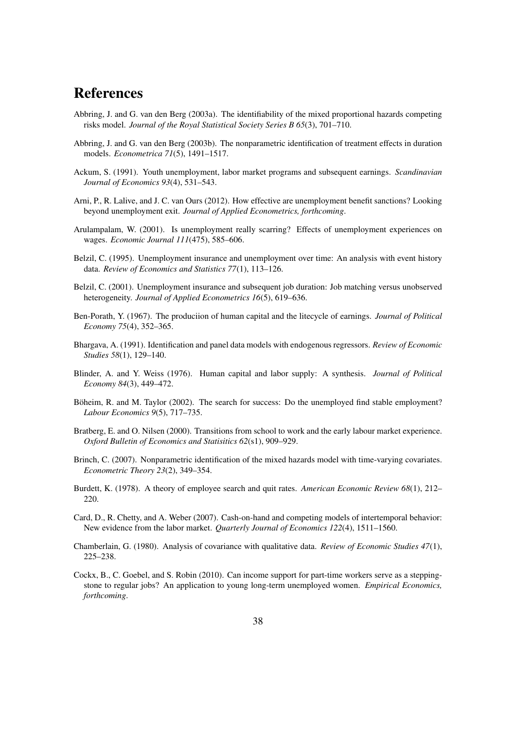## References

- <span id="page-38-8"></span>Abbring, J. and G. van den Berg (2003a). The identifiability of the mixed proportional hazards competing risks model. *Journal of the Royal Statistical Society Series B 65*(3), 701–710.
- <span id="page-38-9"></span>Abbring, J. and G. van den Berg (2003b). The nonparametric identification of treatment effects in duration models. *Econometrica 71*(5), 1491–1517.
- <span id="page-38-13"></span>Ackum, S. (1991). Youth unemployment, labor market programs and subsequent earnings. *Scandinavian Journal of Economics 93*(4), 531–543.
- <span id="page-38-5"></span>Arni, P., R. Lalive, and J. C. van Ours (2012). How effective are unemployment benefit sanctions? Looking beyond unemployment exit. *Journal of Applied Econometrics, forthcoming*.
- <span id="page-38-0"></span>Arulampalam, W. (2001). Is unemployment really scarring? Effects of unemployment experiences on wages. *Economic Journal 111*(475), 585–606.
- <span id="page-38-1"></span>Belzil, C. (1995). Unemployment insurance and unemployment over time: An analysis with event history data. *Review of Economics and Statistics 77*(1), 113–126.
- <span id="page-38-2"></span>Belzil, C. (2001). Unemployment insurance and subsequent job duration: Job matching versus unobserved heterogeneity. *Journal of Applied Econometrics 16*(5), 619–636.
- <span id="page-38-14"></span>Ben-Porath, Y. (1967). The produciion of human capital and the litecycle of earnings. *Journal of Political Economy 75*(4), 352–365.
- <span id="page-38-11"></span>Bhargava, A. (1991). Identification and panel data models with endogenous regressors. *Review of Economic Studies 58*(1), 129–140.
- <span id="page-38-15"></span>Blinder, A. and Y. Weiss (1976). Human capital and labor supply: A synthesis. *Journal of Political Economy 84*(3), 449–472.
- <span id="page-38-3"></span>Böheim, R. and M. Taylor (2002). The search for success: Do the unemployed find stable employment? *Labour Economics 9*(5), 717–735.
- <span id="page-38-4"></span>Bratberg, E. and O. Nilsen (2000). Transitions from school to work and the early labour market experience. *Oxford Bulletin of Economics and Statisitics 62*(s1), 909–929.
- <span id="page-38-10"></span>Brinch, C. (2007). Nonparametric identification of the mixed hazards model with time-varying covariates. *Econometric Theory 23*(2), 349–354.
- <span id="page-38-16"></span>Burdett, K. (1978). A theory of employee search and quit rates. *American Economic Review 68*(1), 212– 220.
- <span id="page-38-12"></span>Card, D., R. Chetty, and A. Weber (2007). Cash-on-hand and competing models of intertemporal behavior: New evidence from the labor market. *Quarterly Journal of Economics 122*(4), 1511–1560.
- <span id="page-38-7"></span>Chamberlain, G. (1980). Analysis of covariance with qualitative data. *Review of Economic Studies 47*(1), 225–238.
- <span id="page-38-6"></span>Cockx, B., C. Goebel, and S. Robin (2010). Can income support for part-time workers serve as a steppingstone to regular jobs? An application to young long-term unemployed women. *Empirical Economics, forthcoming*.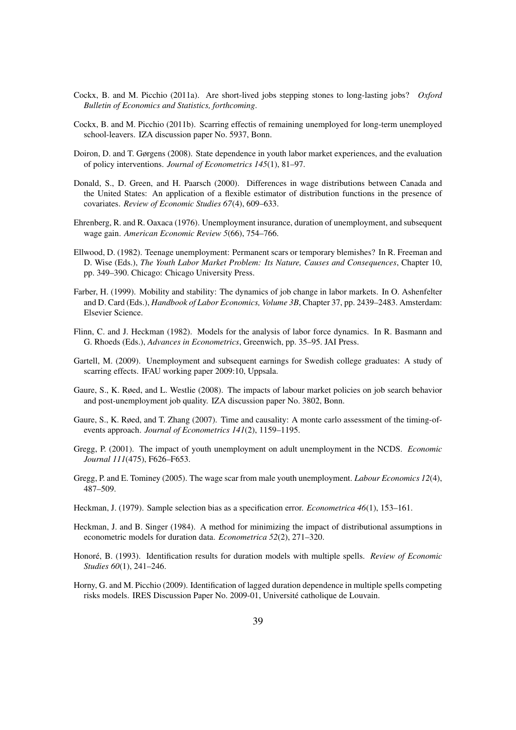- <span id="page-39-6"></span>Cockx, B. and M. Picchio (2011a). Are short-lived jobs stepping stones to long-lasting jobs? *Oxford Bulletin of Economics and Statistics, forthcoming*.
- <span id="page-39-16"></span>Cockx, B. and M. Picchio (2011b). Scarring effectis of remaining unemployed for long-term unemployed school-leavers. IZA discussion paper No. 5937, Bonn.
- <span id="page-39-5"></span>Doiron, D. and T. Gørgens (2008). State dependence in youth labor market experiences, and the evaluation of policy interventions. *Journal of Econometrics 145*(1), 81–97.
- <span id="page-39-8"></span>Donald, S., D. Green, and H. Paarsch (2000). Differences in wage distributions between Canada and the United States: An application of a flexible estimator of distribution functions in the presence of covariates. *Review of Economic Studies 67*(4), 609–633.
- <span id="page-39-14"></span>Ehrenberg, R. and R. Oaxaca (1976). Unemployment insurance, duration of unemployment, and subsequent wage gain. *American Economic Review 5*(66), 754–766.
- <span id="page-39-0"></span>Ellwood, D. (1982). Teenage unemployment: Permanent scars or temporary blemishes? In R. Freeman and D. Wise (Eds.), *The Youth Labor Market Problem: Its Nature, Causes and Consequences*, Chapter 10, pp. 349–390. Chicago: Chicago University Press.
- <span id="page-39-15"></span>Farber, H. (1999). Mobility and stability: The dynamics of job change in labor markets. In O. Ashenfelter and D. Card (Eds.), *Handbook of Labor Economics, Volume 3B*, Chapter 37, pp. 2439–2483. Amsterdam: Elsevier Science.
- <span id="page-39-12"></span>Flinn, C. and J. Heckman (1982). Models for the analysis of labor force dynamics. In R. Basmann and G. Rhoeds (Eds.), *Advances in Econometrics*, Greenwich, pp. 35–95. JAI Press.
- <span id="page-39-3"></span>Gartell, M. (2009). Unemployment and subsequent earnings for Swedish college graduates: A study of scarring effects. IFAU working paper 2009:10, Uppsala.
- <span id="page-39-7"></span>Gaure, S., K. Røed, and L. Westlie (2008). The impacts of labour market policies on job search behavior and post-unemployment job quality. IZA discussion paper No. 3802, Bonn.
- <span id="page-39-11"></span>Gaure, S., K. Røed, and T. Zhang (2007). Time and causality: A monte carlo assessment of the timing-ofevents approach. *Journal of Econometrics 141*(2), 1159–1195.
- <span id="page-39-1"></span>Gregg, P. (2001). The impact of youth unemployment on adult unemployment in the NCDS. *Economic Journal 111*(475), F626–F653.
- <span id="page-39-2"></span>Gregg, P. and E. Tominey (2005). The wage scar from male youth unemployment. *Labour Economics 12*(4), 487–509.
- <span id="page-39-4"></span>Heckman, J. (1979). Sample selection bias as a specification error. *Econometrica 46*(1), 153–161.
- <span id="page-39-13"></span>Heckman, J. and B. Singer (1984). A method for minimizing the impact of distributional assumptions in econometric models for duration data. *Econometrica 52*(2), 271–320.
- <span id="page-39-9"></span>Honoré, B. (1993). Identification results for duration models with multiple spells. *Review of Economic Studies 60*(1), 241–246.
- <span id="page-39-10"></span>Horny, G. and M. Picchio (2009). Identification of lagged duration dependence in multiple spells competing risks models. IRES Discussion Paper No. 2009-01, Université catholique de Louvain.